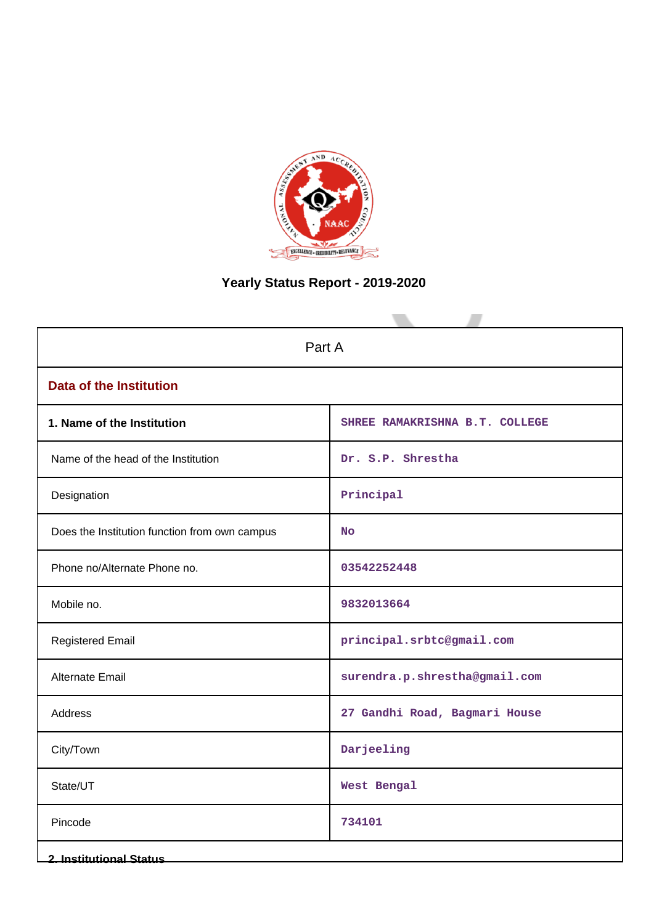

# **Yearly Status Report - 2019-2020**

| Part A                                        |                                |  |  |  |  |  |  |  |
|-----------------------------------------------|--------------------------------|--|--|--|--|--|--|--|
| <b>Data of the Institution</b>                |                                |  |  |  |  |  |  |  |
| 1. Name of the Institution                    | SHREE RAMAKRISHNA B.T. COLLEGE |  |  |  |  |  |  |  |
| Name of the head of the Institution           | Dr. S.P. Shrestha              |  |  |  |  |  |  |  |
| Designation                                   | Principal                      |  |  |  |  |  |  |  |
| Does the Institution function from own campus | <b>No</b>                      |  |  |  |  |  |  |  |
| Phone no/Alternate Phone no.                  | 03542252448                    |  |  |  |  |  |  |  |
| Mobile no.                                    | 9832013664                     |  |  |  |  |  |  |  |
| <b>Registered Email</b>                       | principal.srbtc@gmail.com      |  |  |  |  |  |  |  |
| Alternate Email                               | surendra.p.shrestha@gmail.com  |  |  |  |  |  |  |  |
| Address                                       | 27 Gandhi Road, Bagmari House  |  |  |  |  |  |  |  |
| City/Town                                     | Darjeeling                     |  |  |  |  |  |  |  |
| State/UT                                      | West Bengal                    |  |  |  |  |  |  |  |
| Pincode                                       | 734101                         |  |  |  |  |  |  |  |
| <b>2. Institutional Status</b>                |                                |  |  |  |  |  |  |  |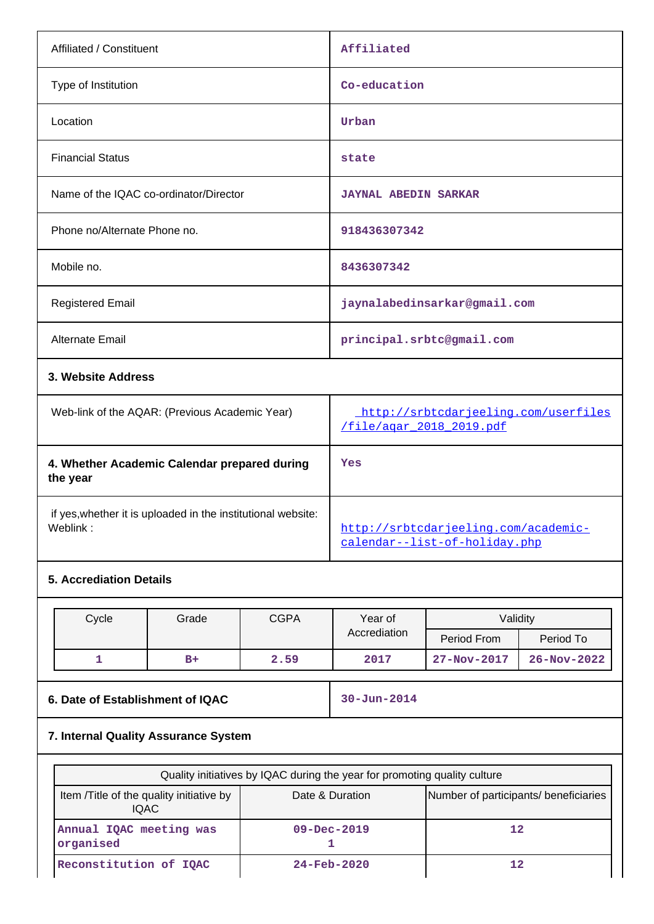| Affiliated / Constituent                                 | Affiliated                                                       |
|----------------------------------------------------------|------------------------------------------------------------------|
| Type of Institution                                      | Co-education                                                     |
| Location                                                 | Urban                                                            |
| <b>Financial Status</b>                                  | state                                                            |
| Name of the IQAC co-ordinator/Director                   | <b>JAYNAL ABEDIN SARKAR</b>                                      |
| Phone no/Alternate Phone no.                             | 918436307342                                                     |
| Mobile no.                                               | 8436307342                                                       |
| <b>Registered Email</b>                                  | jaynalabedinsarkar@gmail.com                                     |
| Alternate Email                                          | principal.srbtc@gmail.com                                        |
| 3. Website Address                                       |                                                                  |
| Web-link of the AQAR: (Previous Academic Year)           | http://srbtcdarjeeling.com/userfiles<br>/file/agar 2018 2019.pdf |
| 4. Whether Academic Calendar prepared during<br>the year | Yes                                                              |

if yes,whether it is uploaded in the institutional website:

## **5. Accrediation Details**

| Cycle | <b>CGPA</b><br>Year of<br>Grade |              | Validitv |                   |                   |
|-------|---------------------------------|--------------|----------|-------------------|-------------------|
|       |                                 | Accrediation |          | Period From       | Period To         |
| --    | $B+$                            | 2.59         | 2017     | $27 - Nov - 2017$ | $26 - Nov - 2022$ |

**6. Date of Establishment of IQAC** 30-Jun-2014

[http://srbtcdarjeeling.com/academic-](http://srbtcdarjeeling.com/academic-calendar--list-of-holiday.php)

[calendar--list-of-holiday.php](http://srbtcdarjeeling.com/academic-calendar--list-of-holiday.php)

## **7. Internal Quality Assurance System**

| Quality initiatives by IQAC during the year for promoting quality culture |                   |                                       |  |  |  |  |  |  |  |
|---------------------------------------------------------------------------|-------------------|---------------------------------------|--|--|--|--|--|--|--|
| Item / Title of the quality initiative by<br><b>IQAC</b>                  | Date & Duration   | Number of participants/ beneficiaries |  |  |  |  |  |  |  |
| Annual IQAC meeting was<br>organised                                      | $09 - Dec - 2019$ | $12 \overline{2}$                     |  |  |  |  |  |  |  |
| Reconstitution of IQAC                                                    | $24 - Feb - 2020$ | 12                                    |  |  |  |  |  |  |  |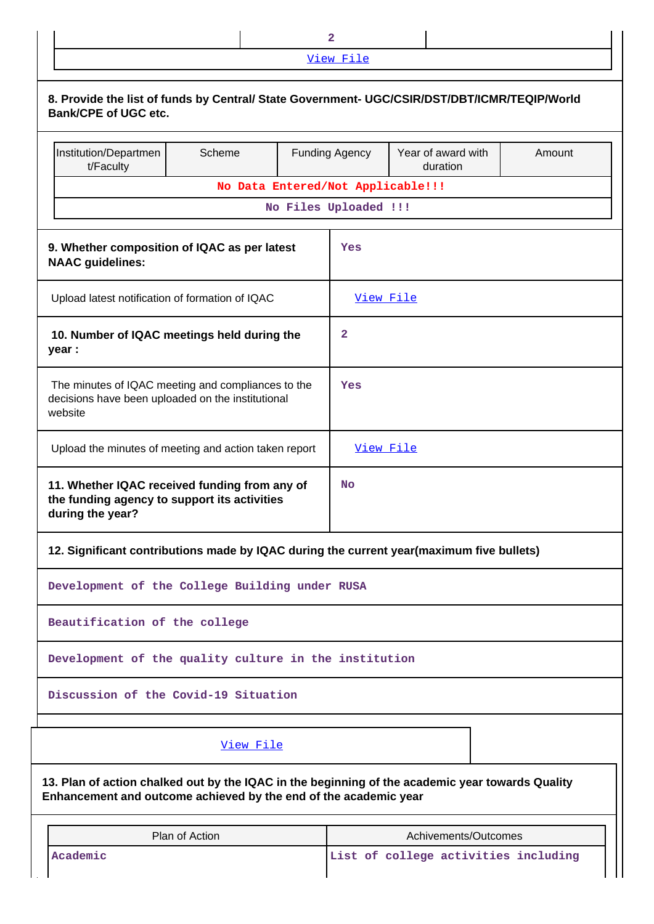|                                                                                                                                                                      |                                   | $\mathbf{2}$          |                                      |        |
|----------------------------------------------------------------------------------------------------------------------------------------------------------------------|-----------------------------------|-----------------------|--------------------------------------|--------|
|                                                                                                                                                                      |                                   | View File             |                                      |        |
| 8. Provide the list of funds by Central/ State Government- UGC/CSIR/DST/DBT/ICMR/TEQIP/World<br><b>Bank/CPE of UGC etc.</b>                                          |                                   |                       |                                      |        |
| Institution/Departmen<br>t/Faculty                                                                                                                                   | Scheme                            | <b>Funding Agency</b> | Year of award with<br>duration       | Amount |
|                                                                                                                                                                      | No Data Entered/Not Applicable!!! | No Files Uploaded !!! |                                      |        |
|                                                                                                                                                                      |                                   |                       |                                      |        |
| 9. Whether composition of IQAC as per latest<br><b>NAAC</b> guidelines:                                                                                              |                                   | Yes                   |                                      |        |
| Upload latest notification of formation of IQAC                                                                                                                      |                                   | View File             |                                      |        |
| 10. Number of IQAC meetings held during the<br>year :                                                                                                                |                                   | 2                     |                                      |        |
| The minutes of IQAC meeting and compliances to the<br>decisions have been uploaded on the institutional<br>website                                                   |                                   | Yes                   |                                      |        |
| Upload the minutes of meeting and action taken report                                                                                                                |                                   | View File             |                                      |        |
| 11. Whether IQAC received funding from any of<br>the funding agency to support its activities<br>during the year?                                                    |                                   | <b>No</b>             |                                      |        |
| 12. Significant contributions made by IQAC during the current year(maximum five bullets)                                                                             |                                   |                       |                                      |        |
| Development of the College Building under RUSA                                                                                                                       |                                   |                       |                                      |        |
| Beautification of the college                                                                                                                                        |                                   |                       |                                      |        |
| Development of the quality culture in the institution                                                                                                                |                                   |                       |                                      |        |
| Discussion of the Covid-19 Situation                                                                                                                                 |                                   |                       |                                      |        |
|                                                                                                                                                                      | View File                         |                       |                                      |        |
| 13. Plan of action chalked out by the IQAC in the beginning of the academic year towards Quality<br>Enhancement and outcome achieved by the end of the academic year |                                   |                       |                                      |        |
|                                                                                                                                                                      | Plan of Action                    |                       | Achivements/Outcomes                 |        |
| Academic                                                                                                                                                             |                                   |                       | List of college activities including |        |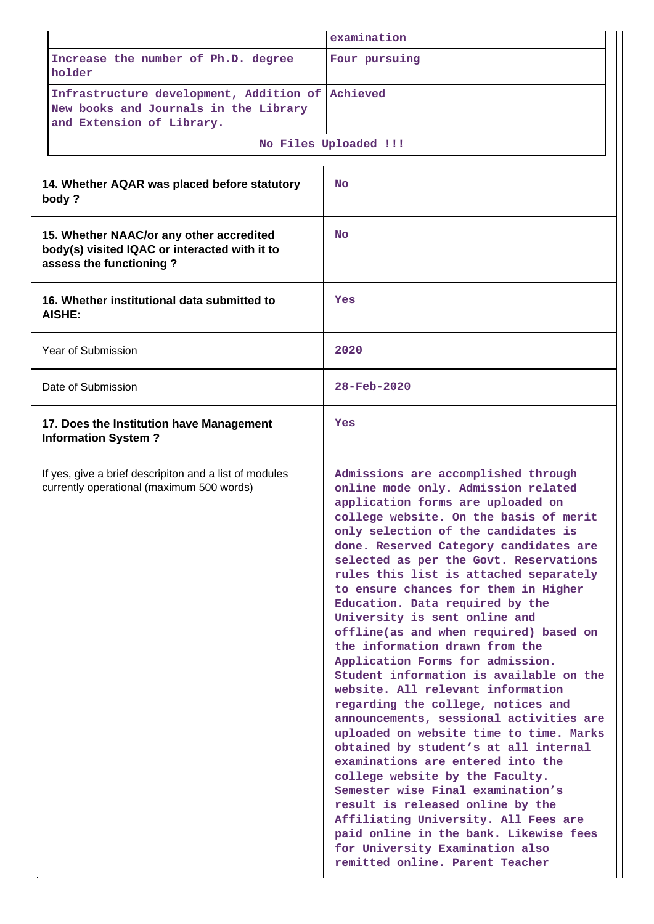|                                                                                                                      | examination                                                                                                                                                                                                                                                                                                                                                                                                                                                                                                                                                                                                                                                                                                                                                                                                                                                                                                                                                                                                                                                                                                              |
|----------------------------------------------------------------------------------------------------------------------|--------------------------------------------------------------------------------------------------------------------------------------------------------------------------------------------------------------------------------------------------------------------------------------------------------------------------------------------------------------------------------------------------------------------------------------------------------------------------------------------------------------------------------------------------------------------------------------------------------------------------------------------------------------------------------------------------------------------------------------------------------------------------------------------------------------------------------------------------------------------------------------------------------------------------------------------------------------------------------------------------------------------------------------------------------------------------------------------------------------------------|
| Increase the number of Ph.D. degree<br>holder                                                                        | Four pursuing                                                                                                                                                                                                                                                                                                                                                                                                                                                                                                                                                                                                                                                                                                                                                                                                                                                                                                                                                                                                                                                                                                            |
| Infrastructure development, Addition of<br>New books and Journals in the Library<br>and Extension of Library.        | Achieved                                                                                                                                                                                                                                                                                                                                                                                                                                                                                                                                                                                                                                                                                                                                                                                                                                                                                                                                                                                                                                                                                                                 |
|                                                                                                                      | No Files Uploaded !!!                                                                                                                                                                                                                                                                                                                                                                                                                                                                                                                                                                                                                                                                                                                                                                                                                                                                                                                                                                                                                                                                                                    |
| 14. Whether AQAR was placed before statutory<br>body?                                                                | <b>No</b>                                                                                                                                                                                                                                                                                                                                                                                                                                                                                                                                                                                                                                                                                                                                                                                                                                                                                                                                                                                                                                                                                                                |
| 15. Whether NAAC/or any other accredited<br>body(s) visited IQAC or interacted with it to<br>assess the functioning? | <b>No</b>                                                                                                                                                                                                                                                                                                                                                                                                                                                                                                                                                                                                                                                                                                                                                                                                                                                                                                                                                                                                                                                                                                                |
| 16. Whether institutional data submitted to<br><b>AISHE:</b>                                                         | Yes                                                                                                                                                                                                                                                                                                                                                                                                                                                                                                                                                                                                                                                                                                                                                                                                                                                                                                                                                                                                                                                                                                                      |
| Year of Submission                                                                                                   | 2020                                                                                                                                                                                                                                                                                                                                                                                                                                                                                                                                                                                                                                                                                                                                                                                                                                                                                                                                                                                                                                                                                                                     |
| Date of Submission                                                                                                   | 28-Feb-2020                                                                                                                                                                                                                                                                                                                                                                                                                                                                                                                                                                                                                                                                                                                                                                                                                                                                                                                                                                                                                                                                                                              |
| 17. Does the Institution have Management<br><b>Information System?</b>                                               | Yes                                                                                                                                                                                                                                                                                                                                                                                                                                                                                                                                                                                                                                                                                                                                                                                                                                                                                                                                                                                                                                                                                                                      |
| If yes, give a brief descripiton and a list of modules<br>currently operational (maximum 500 words)                  | Admissions are accomplished through<br>online mode only. Admission related<br>application forms are uploaded on<br>college website. On the basis of merit<br>only selection of the candidates is<br>done. Reserved Category candidates are<br>selected as per the Govt. Reservations<br>rules this list is attached separately<br>to ensure chances for them in Higher<br>Education. Data required by the<br>University is sent online and<br>offline(as and when required) based on<br>the information drawn from the<br>Application Forms for admission.<br>Student information is available on the<br>website. All relevant information<br>regarding the college, notices and<br>announcements, sessional activities are<br>uploaded on website time to time. Marks<br>obtained by student's at all internal<br>examinations are entered into the<br>college website by the Faculty.<br>Semester wise Final examination's<br>result is released online by the<br>Affiliating University. All Fees are<br>paid online in the bank. Likewise fees<br>for University Examination also<br>remitted online. Parent Teacher |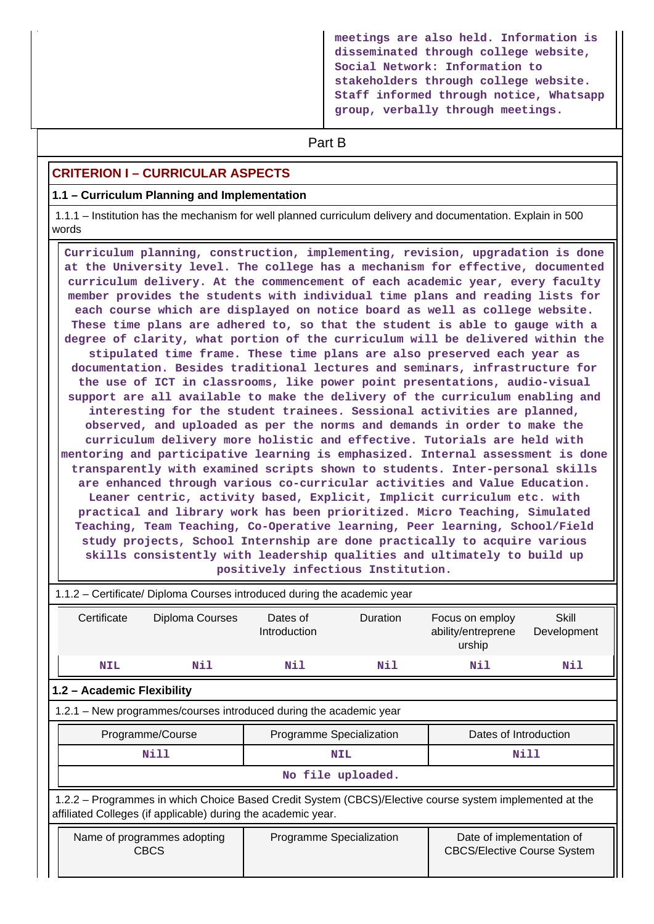**meetings are also held. Information is disseminated through college website, Social Network: Information to stakeholders through college website. Staff informed through notice, Whatsapp group, verbally through meetings.**

# **Part B**

## **CRITERION I – CURRICULAR ASPECTS**

### **1.1 – Curriculum Planning and Implementation**

 1.1.1 – Institution has the mechanism for well planned curriculum delivery and documentation. Explain in 500 words

 **Curriculum planning, construction, implementing, revision, upgradation is done at the University level. The college has a mechanism for effective, documented curriculum delivery. At the commencement of each academic year, every faculty member provides the students with individual time plans and reading lists for each course which are displayed on notice board as well as college website. These time plans are adhered to, so that the student is able to gauge with a degree of clarity, what portion of the curriculum will be delivered within the stipulated time frame. These time plans are also preserved each year as documentation. Besides traditional lectures and seminars, infrastructure for the use of ICT in classrooms, like power point presentations, audio-visual support are all available to make the delivery of the curriculum enabling and interesting for the student trainees. Sessional activities are planned, observed, and uploaded as per the norms and demands in order to make the curriculum delivery more holistic and effective. Tutorials are held with mentoring and participative learning is emphasized. Internal assessment is done transparently with examined scripts shown to students. Inter-personal skills are enhanced through various co-curricular activities and Value Education. Leaner centric, activity based, Explicit, Implicit curriculum etc. with practical and library work has been prioritized. Micro Teaching, Simulated Teaching, Team Teaching, Co-Operative learning, Peer learning, School/Field study projects, School Internship are done practically to acquire various skills consistently with leadership qualities and ultimately to build up positively infectious Institution.**

| 1.1.2 – Certificate/ Diploma Courses introduced during the academic year                                                                                                 |                             |                          |                   |                                                 |                      |  |  |  |  |  |
|--------------------------------------------------------------------------------------------------------------------------------------------------------------------------|-----------------------------|--------------------------|-------------------|-------------------------------------------------|----------------------|--|--|--|--|--|
| Certificate<br>Diploma Courses                                                                                                                                           |                             | Dates of<br>Introduction | <b>Duration</b>   | Focus on employ<br>ability/entreprene<br>urship | Skill<br>Development |  |  |  |  |  |
| <b>NIL</b>                                                                                                                                                               | Nil                         | Nil                      | Nil               | Nil                                             | Nil                  |  |  |  |  |  |
| 1.2 - Academic Flexibility                                                                                                                                               |                             |                          |                   |                                                 |                      |  |  |  |  |  |
| 1.2.1 – New programmes/courses introduced during the academic year                                                                                                       |                             |                          |                   |                                                 |                      |  |  |  |  |  |
|                                                                                                                                                                          | Programme/Course            | Programme Specialization |                   | Dates of Introduction                           |                      |  |  |  |  |  |
|                                                                                                                                                                          | Nill                        |                          | <b>NIL</b>        |                                                 | Nill                 |  |  |  |  |  |
|                                                                                                                                                                          |                             |                          | No file uploaded. |                                                 |                      |  |  |  |  |  |
| 1.2.2 – Programmes in which Choice Based Credit System (CBCS)/Elective course system implemented at the<br>affiliated Colleges (if applicable) during the academic year. |                             |                          |                   |                                                 |                      |  |  |  |  |  |
| <b>CBCS</b>                                                                                                                                                              | Name of programmes adopting | Programme Specialization |                   | Date of implementation of                       |                      |  |  |  |  |  |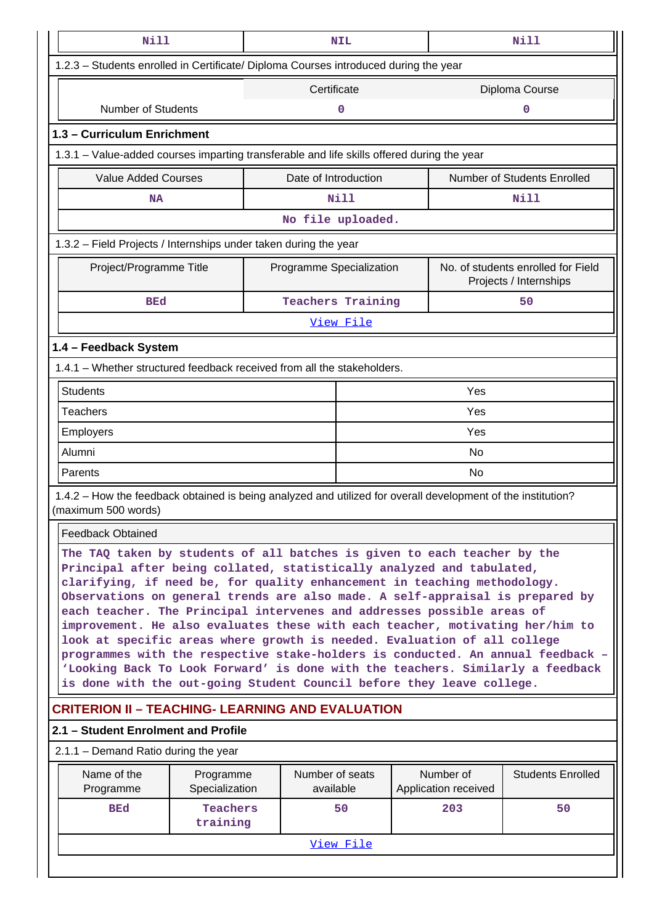| Nill                                                                                                                                                                                                                                                                                                                                                                                                                                                                                                                                                                                                                                                                                                                                                                                                |                                                                  | <b>NIL</b>                   |  |                                   | Nill                                                         |  |  |  |  |  |  |
|-----------------------------------------------------------------------------------------------------------------------------------------------------------------------------------------------------------------------------------------------------------------------------------------------------------------------------------------------------------------------------------------------------------------------------------------------------------------------------------------------------------------------------------------------------------------------------------------------------------------------------------------------------------------------------------------------------------------------------------------------------------------------------------------------------|------------------------------------------------------------------|------------------------------|--|-----------------------------------|--------------------------------------------------------------|--|--|--|--|--|--|
| 1.2.3 - Students enrolled in Certificate/ Diploma Courses introduced during the year                                                                                                                                                                                                                                                                                                                                                                                                                                                                                                                                                                                                                                                                                                                |                                                                  |                              |  |                                   |                                                              |  |  |  |  |  |  |
|                                                                                                                                                                                                                                                                                                                                                                                                                                                                                                                                                                                                                                                                                                                                                                                                     |                                                                  | Certificate                  |  |                                   | Diploma Course                                               |  |  |  |  |  |  |
| <b>Number of Students</b>                                                                                                                                                                                                                                                                                                                                                                                                                                                                                                                                                                                                                                                                                                                                                                           |                                                                  | 0                            |  |                                   | 0                                                            |  |  |  |  |  |  |
| 1.3 - Curriculum Enrichment                                                                                                                                                                                                                                                                                                                                                                                                                                                                                                                                                                                                                                                                                                                                                                         |                                                                  |                              |  |                                   |                                                              |  |  |  |  |  |  |
| 1.3.1 – Value-added courses imparting transferable and life skills offered during the year                                                                                                                                                                                                                                                                                                                                                                                                                                                                                                                                                                                                                                                                                                          |                                                                  |                              |  |                                   |                                                              |  |  |  |  |  |  |
| <b>Value Added Courses</b><br>Number of Students Enrolled<br>Date of Introduction                                                                                                                                                                                                                                                                                                                                                                                                                                                                                                                                                                                                                                                                                                                   |                                                                  |                              |  |                                   |                                                              |  |  |  |  |  |  |
| <b>NA</b>                                                                                                                                                                                                                                                                                                                                                                                                                                                                                                                                                                                                                                                                                                                                                                                           |                                                                  | Nill                         |  |                                   | Nill                                                         |  |  |  |  |  |  |
|                                                                                                                                                                                                                                                                                                                                                                                                                                                                                                                                                                                                                                                                                                                                                                                                     |                                                                  | No file uploaded.            |  |                                   |                                                              |  |  |  |  |  |  |
|                                                                                                                                                                                                                                                                                                                                                                                                                                                                                                                                                                                                                                                                                                                                                                                                     | 1.3.2 - Field Projects / Internships under taken during the year |                              |  |                                   |                                                              |  |  |  |  |  |  |
| Project/Programme Title                                                                                                                                                                                                                                                                                                                                                                                                                                                                                                                                                                                                                                                                                                                                                                             |                                                                  | Programme Specialization     |  |                                   | No. of students enrolled for Field<br>Projects / Internships |  |  |  |  |  |  |
| <b>BEd</b>                                                                                                                                                                                                                                                                                                                                                                                                                                                                                                                                                                                                                                                                                                                                                                                          |                                                                  | <b>Teachers Training</b>     |  |                                   | 50                                                           |  |  |  |  |  |  |
|                                                                                                                                                                                                                                                                                                                                                                                                                                                                                                                                                                                                                                                                                                                                                                                                     |                                                                  | <u>View File</u>             |  |                                   |                                                              |  |  |  |  |  |  |
| 1.4 - Feedback System                                                                                                                                                                                                                                                                                                                                                                                                                                                                                                                                                                                                                                                                                                                                                                               |                                                                  |                              |  |                                   |                                                              |  |  |  |  |  |  |
| 1.4.1 – Whether structured feedback received from all the stakeholders.                                                                                                                                                                                                                                                                                                                                                                                                                                                                                                                                                                                                                                                                                                                             |                                                                  |                              |  |                                   |                                                              |  |  |  |  |  |  |
| <b>Students</b>                                                                                                                                                                                                                                                                                                                                                                                                                                                                                                                                                                                                                                                                                                                                                                                     |                                                                  |                              |  | Yes                               |                                                              |  |  |  |  |  |  |
| <b>Teachers</b>                                                                                                                                                                                                                                                                                                                                                                                                                                                                                                                                                                                                                                                                                                                                                                                     |                                                                  |                              |  | Yes                               |                                                              |  |  |  |  |  |  |
| Employers                                                                                                                                                                                                                                                                                                                                                                                                                                                                                                                                                                                                                                                                                                                                                                                           |                                                                  |                              |  | Yes                               |                                                              |  |  |  |  |  |  |
| Alumni                                                                                                                                                                                                                                                                                                                                                                                                                                                                                                                                                                                                                                                                                                                                                                                              |                                                                  |                              |  | No                                |                                                              |  |  |  |  |  |  |
| Parents                                                                                                                                                                                                                                                                                                                                                                                                                                                                                                                                                                                                                                                                                                                                                                                             |                                                                  |                              |  | No                                |                                                              |  |  |  |  |  |  |
| 1.4.2 – How the feedback obtained is being analyzed and utilized for overall development of the institution?<br>(maximum 500 words)                                                                                                                                                                                                                                                                                                                                                                                                                                                                                                                                                                                                                                                                 |                                                                  |                              |  |                                   |                                                              |  |  |  |  |  |  |
| <b>Feedback Obtained</b>                                                                                                                                                                                                                                                                                                                                                                                                                                                                                                                                                                                                                                                                                                                                                                            |                                                                  |                              |  |                                   |                                                              |  |  |  |  |  |  |
| The TAQ taken by students of all batches is given to each teacher by the<br>Principal after being collated, statistically analyzed and tabulated,<br>clarifying, if need be, for quality enhancement in teaching methodology.<br>Observations on general trends are also made. A self-appraisal is prepared by<br>each teacher. The Principal intervenes and addresses possible areas of<br>improvement. He also evaluates these with each teacher, motivating her/him to<br>look at specific areas where growth is needed. Evaluation of all college<br>programmes with the respective stake-holders is conducted. An annual feedback -<br>'Looking Back To Look Forward' is done with the teachers. Similarly a feedback<br>is done with the out-going Student Council before they leave college. |                                                                  |                              |  |                                   |                                                              |  |  |  |  |  |  |
| <b>CRITERION II – TEACHING- LEARNING AND EVALUATION</b>                                                                                                                                                                                                                                                                                                                                                                                                                                                                                                                                                                                                                                                                                                                                             |                                                                  |                              |  |                                   |                                                              |  |  |  |  |  |  |
| 2.1 – Student Enrolment and Profile                                                                                                                                                                                                                                                                                                                                                                                                                                                                                                                                                                                                                                                                                                                                                                 |                                                                  |                              |  |                                   |                                                              |  |  |  |  |  |  |
| $2.1.1 -$ Demand Ratio during the year                                                                                                                                                                                                                                                                                                                                                                                                                                                                                                                                                                                                                                                                                                                                                              |                                                                  |                              |  |                                   |                                                              |  |  |  |  |  |  |
| Name of the<br>Programme                                                                                                                                                                                                                                                                                                                                                                                                                                                                                                                                                                                                                                                                                                                                                                            | Programme<br>Specialization                                      | Number of seats<br>available |  | Number of<br>Application received | <b>Students Enrolled</b>                                     |  |  |  |  |  |  |
| <b>BEd</b>                                                                                                                                                                                                                                                                                                                                                                                                                                                                                                                                                                                                                                                                                                                                                                                          | Teachers<br>training                                             | 50                           |  | 203                               | 50                                                           |  |  |  |  |  |  |
|                                                                                                                                                                                                                                                                                                                                                                                                                                                                                                                                                                                                                                                                                                                                                                                                     |                                                                  | View File                    |  |                                   |                                                              |  |  |  |  |  |  |
|                                                                                                                                                                                                                                                                                                                                                                                                                                                                                                                                                                                                                                                                                                                                                                                                     |                                                                  |                              |  |                                   |                                                              |  |  |  |  |  |  |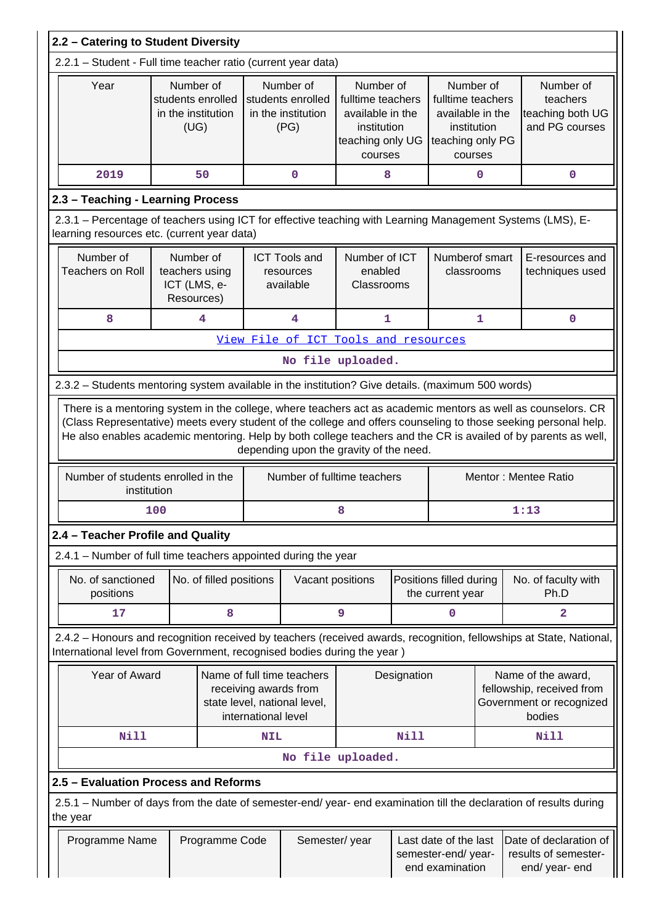| 2.2 - Catering to Student Diversity                                                                                                                       |                                                              |                         |                                                              |                                                                                     |                                                                                                  |             |                                                                                                  |              |                                                                                                                                                                                                                                                           |  |  |  |
|-----------------------------------------------------------------------------------------------------------------------------------------------------------|--------------------------------------------------------------|-------------------------|--------------------------------------------------------------|-------------------------------------------------------------------------------------|--------------------------------------------------------------------------------------------------|-------------|--------------------------------------------------------------------------------------------------|--------------|-----------------------------------------------------------------------------------------------------------------------------------------------------------------------------------------------------------------------------------------------------------|--|--|--|
| 2.2.1 - Student - Full time teacher ratio (current year data)                                                                                             |                                                              |                         |                                                              |                                                                                     |                                                                                                  |             |                                                                                                  |              |                                                                                                                                                                                                                                                           |  |  |  |
| Year                                                                                                                                                      | Number of<br>students enrolled<br>in the institution<br>(UG) |                         | Number of<br>students enrolled<br>in the institution<br>(PG) |                                                                                     | Number of<br>fulltime teachers<br>available in the<br>institution<br>teaching only UG<br>courses |             | Number of<br>fulltime teachers<br>available in the<br>institution<br>teaching only PG<br>courses |              | Number of<br>teachers<br>teaching both UG<br>and PG courses                                                                                                                                                                                               |  |  |  |
| 2019<br>50<br>8<br>0<br>0                                                                                                                                 |                                                              |                         |                                                              |                                                                                     |                                                                                                  |             |                                                                                                  |              |                                                                                                                                                                                                                                                           |  |  |  |
| 2.3 - Teaching - Learning Process                                                                                                                         |                                                              |                         |                                                              |                                                                                     |                                                                                                  |             |                                                                                                  |              |                                                                                                                                                                                                                                                           |  |  |  |
| 2.3.1 - Percentage of teachers using ICT for effective teaching with Learning Management Systems (LMS), E-<br>learning resources etc. (current year data) |                                                              |                         |                                                              |                                                                                     |                                                                                                  |             |                                                                                                  |              |                                                                                                                                                                                                                                                           |  |  |  |
| Number of<br><b>Teachers on Roll</b>                                                                                                                      | Number of<br>teachers using<br>ICT (LMS, e-<br>Resources)    |                         |                                                              | <b>ICT Tools and</b><br>resources<br>available                                      | Number of ICT<br>enabled<br>Classrooms                                                           |             | Numberof smart<br>classrooms                                                                     |              | E-resources and<br>techniques used                                                                                                                                                                                                                        |  |  |  |
| 8                                                                                                                                                         |                                                              | 4                       |                                                              | 4                                                                                   | 1                                                                                                |             |                                                                                                  | $\mathbf{1}$ | $\mathbf 0$                                                                                                                                                                                                                                               |  |  |  |
|                                                                                                                                                           |                                                              |                         |                                                              | View File of ICT Tools and resources                                                |                                                                                                  |             |                                                                                                  |              |                                                                                                                                                                                                                                                           |  |  |  |
|                                                                                                                                                           |                                                              |                         |                                                              | No file uploaded.                                                                   |                                                                                                  |             |                                                                                                  |              |                                                                                                                                                                                                                                                           |  |  |  |
| 2.3.2 - Students mentoring system available in the institution? Give details. (maximum 500 words)                                                         |                                                              |                         |                                                              |                                                                                     |                                                                                                  |             |                                                                                                  |              |                                                                                                                                                                                                                                                           |  |  |  |
| Number of students enrolled in the                                                                                                                        |                                                              |                         |                                                              | depending upon the gravity of the need.<br>Number of fulltime teachers              |                                                                                                  |             |                                                                                                  |              | (Class Representative) meets every student of the college and offers counseling to those seeking personal help.<br>He also enables academic mentoring. Help by both college teachers and the CR is availed of by parents as well,<br>Mentor: Mentee Ratio |  |  |  |
| institution                                                                                                                                               |                                                              |                         |                                                              |                                                                                     |                                                                                                  |             |                                                                                                  |              |                                                                                                                                                                                                                                                           |  |  |  |
|                                                                                                                                                           | 100                                                          |                         |                                                              |                                                                                     | 8                                                                                                |             |                                                                                                  |              | 1:13                                                                                                                                                                                                                                                      |  |  |  |
| 2.4 - Teacher Profile and Quality<br>2.4.1 – Number of full time teachers appointed during the year                                                       |                                                              |                         |                                                              |                                                                                     |                                                                                                  |             |                                                                                                  |              |                                                                                                                                                                                                                                                           |  |  |  |
| No. of sanctioned<br>positions                                                                                                                            |                                                              | No. of filled positions |                                                              | Vacant positions                                                                    |                                                                                                  |             | Positions filled during<br>the current year                                                      |              | No. of faculty with<br>Ph.D                                                                                                                                                                                                                               |  |  |  |
| 17                                                                                                                                                        |                                                              | 8                       |                                                              |                                                                                     | 9                                                                                                |             | 0                                                                                                |              | 2                                                                                                                                                                                                                                                         |  |  |  |
| International level from Government, recognised bodies during the year)                                                                                   |                                                              |                         |                                                              |                                                                                     |                                                                                                  |             |                                                                                                  |              | 2.4.2 - Honours and recognition received by teachers (received awards, recognition, fellowships at State, National,                                                                                                                                       |  |  |  |
|                                                                                                                                                           | Year of Award                                                |                         | international level                                          | Name of full time teachers<br>receiving awards from<br>state level, national level, |                                                                                                  | Designation |                                                                                                  |              | Name of the award,<br>fellowship, received from<br>Government or recognized<br>bodies                                                                                                                                                                     |  |  |  |
| <b>Nill</b>                                                                                                                                               |                                                              |                         | <b>NIL</b>                                                   |                                                                                     |                                                                                                  | Nill        |                                                                                                  |              | Nill                                                                                                                                                                                                                                                      |  |  |  |
|                                                                                                                                                           |                                                              |                         |                                                              |                                                                                     | No file uploaded.                                                                                |             |                                                                                                  |              |                                                                                                                                                                                                                                                           |  |  |  |
| 2.5 - Evaluation Process and Reforms                                                                                                                      |                                                              |                         |                                                              |                                                                                     |                                                                                                  |             |                                                                                                  |              |                                                                                                                                                                                                                                                           |  |  |  |
| 2.5.1 – Number of days from the date of semester-end/ year- end examination till the declaration of results during<br>the year                            |                                                              |                         |                                                              |                                                                                     |                                                                                                  |             |                                                                                                  |              |                                                                                                                                                                                                                                                           |  |  |  |
| Programme Name                                                                                                                                            |                                                              | Programme Code          |                                                              | Semester/year                                                                       |                                                                                                  |             | Last date of the last<br>semester-end/year-<br>end examination                                   |              | Date of declaration of<br>results of semester-<br>end/ year- end                                                                                                                                                                                          |  |  |  |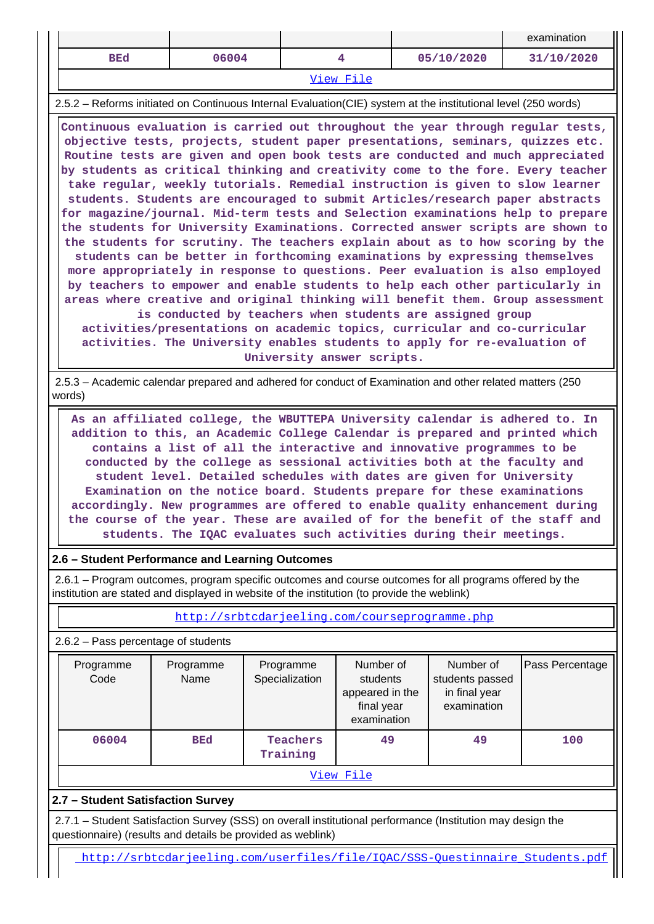|                                                                                                                                                                                                                                                                                                                                                                                                                                                                                                                                                                                                                                                                                                                                                                                                                                                                                                                                                                                                                                                                                                                                                                                                                                                                                                                            |                                                                                                                                                                                                                                                                                                                                                                                                                                                                                                                                                                                                                                                                                                                 |                                                |                                                                       |                                                              | examination     |  |  |  |  |  |  |  |
|----------------------------------------------------------------------------------------------------------------------------------------------------------------------------------------------------------------------------------------------------------------------------------------------------------------------------------------------------------------------------------------------------------------------------------------------------------------------------------------------------------------------------------------------------------------------------------------------------------------------------------------------------------------------------------------------------------------------------------------------------------------------------------------------------------------------------------------------------------------------------------------------------------------------------------------------------------------------------------------------------------------------------------------------------------------------------------------------------------------------------------------------------------------------------------------------------------------------------------------------------------------------------------------------------------------------------|-----------------------------------------------------------------------------------------------------------------------------------------------------------------------------------------------------------------------------------------------------------------------------------------------------------------------------------------------------------------------------------------------------------------------------------------------------------------------------------------------------------------------------------------------------------------------------------------------------------------------------------------------------------------------------------------------------------------|------------------------------------------------|-----------------------------------------------------------------------|--------------------------------------------------------------|-----------------|--|--|--|--|--|--|--|
| <b>BEd</b>                                                                                                                                                                                                                                                                                                                                                                                                                                                                                                                                                                                                                                                                                                                                                                                                                                                                                                                                                                                                                                                                                                                                                                                                                                                                                                                 | 06004                                                                                                                                                                                                                                                                                                                                                                                                                                                                                                                                                                                                                                                                                                           |                                                | 4                                                                     | 05/10/2020                                                   | 31/10/2020      |  |  |  |  |  |  |  |
| View File                                                                                                                                                                                                                                                                                                                                                                                                                                                                                                                                                                                                                                                                                                                                                                                                                                                                                                                                                                                                                                                                                                                                                                                                                                                                                                                  |                                                                                                                                                                                                                                                                                                                                                                                                                                                                                                                                                                                                                                                                                                                 |                                                |                                                                       |                                                              |                 |  |  |  |  |  |  |  |
| 2.5.2 – Reforms initiated on Continuous Internal Evaluation (CIE) system at the institutional level (250 words)                                                                                                                                                                                                                                                                                                                                                                                                                                                                                                                                                                                                                                                                                                                                                                                                                                                                                                                                                                                                                                                                                                                                                                                                            |                                                                                                                                                                                                                                                                                                                                                                                                                                                                                                                                                                                                                                                                                                                 |                                                |                                                                       |                                                              |                 |  |  |  |  |  |  |  |
| Continuous evaluation is carried out throughout the year through regular tests,<br>objective tests, projects, student paper presentations, seminars, quizzes etc.<br>Routine tests are given and open book tests are conducted and much appreciated<br>by students as critical thinking and creativity come to the fore. Every teacher<br>take regular, weekly tutorials. Remedial instruction is given to slow learner<br>students. Students are encouraged to submit Articles/research paper abstracts<br>for magazine/journal. Mid-term tests and Selection examinations help to prepare<br>the students for University Examinations. Corrected answer scripts are shown to<br>the students for scrutiny. The teachers explain about as to how scoring by the<br>students can be better in forthcoming examinations by expressing themselves<br>more appropriately in response to questions. Peer evaluation is also employed<br>by teachers to empower and enable students to help each other particularly in<br>areas where creative and original thinking will benefit them. Group assessment<br>is conducted by teachers when students are assigned group<br>activities/presentations on academic topics, curricular and co-curricular<br>activities. The University enables students to apply for re-evaluation of |                                                                                                                                                                                                                                                                                                                                                                                                                                                                                                                                                                                                                                                                                                                 |                                                |                                                                       |                                                              |                 |  |  |  |  |  |  |  |
|                                                                                                                                                                                                                                                                                                                                                                                                                                                                                                                                                                                                                                                                                                                                                                                                                                                                                                                                                                                                                                                                                                                                                                                                                                                                                                                            |                                                                                                                                                                                                                                                                                                                                                                                                                                                                                                                                                                                                                                                                                                                 | University answer scripts.                     |                                                                       |                                                              |                 |  |  |  |  |  |  |  |
| 2.5.3 – Academic calendar prepared and adhered for conduct of Examination and other related matters (250<br>words)                                                                                                                                                                                                                                                                                                                                                                                                                                                                                                                                                                                                                                                                                                                                                                                                                                                                                                                                                                                                                                                                                                                                                                                                         |                                                                                                                                                                                                                                                                                                                                                                                                                                                                                                                                                                                                                                                                                                                 |                                                |                                                                       |                                                              |                 |  |  |  |  |  |  |  |
|                                                                                                                                                                                                                                                                                                                                                                                                                                                                                                                                                                                                                                                                                                                                                                                                                                                                                                                                                                                                                                                                                                                                                                                                                                                                                                                            | As an affiliated college, the WBUTTEPA University calendar is adhered to. In<br>addition to this, an Academic College Calendar is prepared and printed which<br>contains a list of all the interactive and innovative programmes to be<br>conducted by the college as sessional activities both at the faculty and<br>student level. Detailed schedules with dates are given for University<br>Examination on the notice board. Students prepare for these examinations<br>accordingly. New programmes are offered to enable quality enhancement during<br>the course of the year. These are availed of for the benefit of the staff and<br>students. The IQAC evaluates such activities during their meetings. |                                                |                                                                       |                                                              |                 |  |  |  |  |  |  |  |
| 2.6 - Student Performance and Learning Outcomes                                                                                                                                                                                                                                                                                                                                                                                                                                                                                                                                                                                                                                                                                                                                                                                                                                                                                                                                                                                                                                                                                                                                                                                                                                                                            |                                                                                                                                                                                                                                                                                                                                                                                                                                                                                                                                                                                                                                                                                                                 |                                                |                                                                       |                                                              |                 |  |  |  |  |  |  |  |
| 2.6.1 – Program outcomes, program specific outcomes and course outcomes for all programs offered by the<br>institution are stated and displayed in website of the institution (to provide the weblink)                                                                                                                                                                                                                                                                                                                                                                                                                                                                                                                                                                                                                                                                                                                                                                                                                                                                                                                                                                                                                                                                                                                     |                                                                                                                                                                                                                                                                                                                                                                                                                                                                                                                                                                                                                                                                                                                 |                                                |                                                                       |                                                              |                 |  |  |  |  |  |  |  |
|                                                                                                                                                                                                                                                                                                                                                                                                                                                                                                                                                                                                                                                                                                                                                                                                                                                                                                                                                                                                                                                                                                                                                                                                                                                                                                                            |                                                                                                                                                                                                                                                                                                                                                                                                                                                                                                                                                                                                                                                                                                                 | http://srbtcdarjeeling.com/courseprogramme.php |                                                                       |                                                              |                 |  |  |  |  |  |  |  |
| 2.6.2 - Pass percentage of students                                                                                                                                                                                                                                                                                                                                                                                                                                                                                                                                                                                                                                                                                                                                                                                                                                                                                                                                                                                                                                                                                                                                                                                                                                                                                        |                                                                                                                                                                                                                                                                                                                                                                                                                                                                                                                                                                                                                                                                                                                 |                                                |                                                                       |                                                              |                 |  |  |  |  |  |  |  |
| Programme<br>Code                                                                                                                                                                                                                                                                                                                                                                                                                                                                                                                                                                                                                                                                                                                                                                                                                                                                                                                                                                                                                                                                                                                                                                                                                                                                                                          | Programme<br>Name                                                                                                                                                                                                                                                                                                                                                                                                                                                                                                                                                                                                                                                                                               | Programme<br>Specialization                    | Number of<br>students<br>appeared in the<br>final year<br>examination | Number of<br>students passed<br>in final year<br>examination | Pass Percentage |  |  |  |  |  |  |  |
| 06004                                                                                                                                                                                                                                                                                                                                                                                                                                                                                                                                                                                                                                                                                                                                                                                                                                                                                                                                                                                                                                                                                                                                                                                                                                                                                                                      | <b>BEd</b>                                                                                                                                                                                                                                                                                                                                                                                                                                                                                                                                                                                                                                                                                                      | <b>Teachers</b><br>Training                    | 49                                                                    | 49                                                           | 100             |  |  |  |  |  |  |  |
|                                                                                                                                                                                                                                                                                                                                                                                                                                                                                                                                                                                                                                                                                                                                                                                                                                                                                                                                                                                                                                                                                                                                                                                                                                                                                                                            |                                                                                                                                                                                                                                                                                                                                                                                                                                                                                                                                                                                                                                                                                                                 |                                                | View File                                                             |                                                              |                 |  |  |  |  |  |  |  |
|                                                                                                                                                                                                                                                                                                                                                                                                                                                                                                                                                                                                                                                                                                                                                                                                                                                                                                                                                                                                                                                                                                                                                                                                                                                                                                                            |                                                                                                                                                                                                                                                                                                                                                                                                                                                                                                                                                                                                                                                                                                                 |                                                |                                                                       |                                                              |                 |  |  |  |  |  |  |  |
| 2.7 - Student Satisfaction Survey                                                                                                                                                                                                                                                                                                                                                                                                                                                                                                                                                                                                                                                                                                                                                                                                                                                                                                                                                                                                                                                                                                                                                                                                                                                                                          |                                                                                                                                                                                                                                                                                                                                                                                                                                                                                                                                                                                                                                                                                                                 |                                                |                                                                       |                                                              |                 |  |  |  |  |  |  |  |

 2.7.1 – Student Satisfaction Survey (SSS) on overall institutional performance (Institution may design the questionnaire) (results and details be provided as weblink)

[http://srbtcdarjeeling.com/userfiles/file/IQAC/SSS-Questinnaire\\_Students.pdf](http://srbtcdarjeeling.com/userfiles/file/IQAC/SSS-Questinnaire_Students.pdf)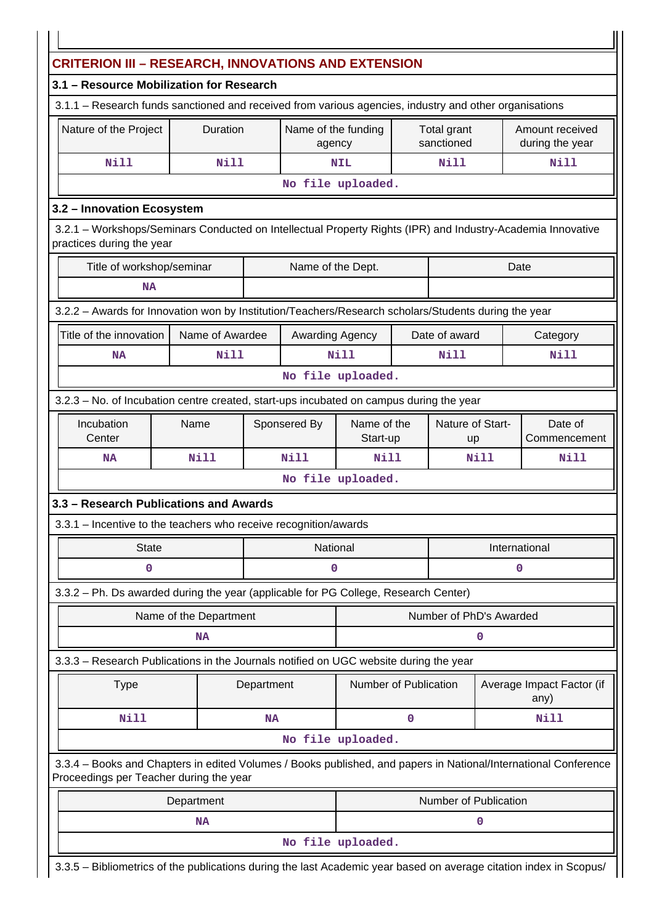| 3.1 - Resource Mobilization for Research                                                                                                                   |                        |            |                                         |                       |                        |                         |               |                                   |  |
|------------------------------------------------------------------------------------------------------------------------------------------------------------|------------------------|------------|-----------------------------------------|-----------------------|------------------------|-------------------------|---------------|-----------------------------------|--|
| 3.1.1 - Research funds sanctioned and received from various agencies, industry and other organisations                                                     |                        |            |                                         |                       |                        |                         |               |                                   |  |
| Nature of the Project<br>Duration<br>Name of the funding<br>Total grant<br>Amount received<br>sanctioned<br>during the year<br>agency                      |                        |            |                                         |                       |                        |                         |               |                                   |  |
| <b>Nill</b>                                                                                                                                                | <b>Nill</b>            |            |                                         | <b>NIL</b>            |                        | <b>Nill</b>             |               | <b>Nill</b>                       |  |
|                                                                                                                                                            |                        |            |                                         | No file uploaded.     |                        |                         |               |                                   |  |
| 3.2 - Innovation Ecosystem                                                                                                                                 |                        |            |                                         |                       |                        |                         |               |                                   |  |
| 3.2.1 - Workshops/Seminars Conducted on Intellectual Property Rights (IPR) and Industry-Academia Innovative<br>practices during the year                   |                        |            |                                         |                       |                        |                         |               |                                   |  |
| Title of workshop/seminar                                                                                                                                  |                        |            | Name of the Dept.                       |                       |                        |                         | Date          |                                   |  |
| <b>NA</b>                                                                                                                                                  |                        |            |                                         |                       |                        |                         |               |                                   |  |
| 3.2.2 - Awards for Innovation won by Institution/Teachers/Research scholars/Students during the year                                                       |                        |            |                                         |                       |                        |                         |               |                                   |  |
| Title of the innovation                                                                                                                                    | Name of Awardee        |            | Awarding Agency                         |                       |                        | Date of award           |               | Category                          |  |
| <b>NA</b>                                                                                                                                                  | <b>Nill</b>            |            |                                         | Nill                  |                        | Nill                    |               | Nill                              |  |
|                                                                                                                                                            |                        |            |                                         | No file uploaded.     |                        |                         |               |                                   |  |
| 3.2.3 – No. of Incubation centre created, start-ups incubated on campus during the year                                                                    |                        |            |                                         |                       |                        |                         |               |                                   |  |
| Incubation<br>Center                                                                                                                                       | Name                   |            | Name of the<br>Sponsered By<br>Start-up |                       | Nature of Start-<br>up |                         |               | Date of<br>Commencement           |  |
| <b>NA</b>                                                                                                                                                  | Nill                   |            | Nill                                    | Nill                  |                        |                         | Nill          | Nill                              |  |
|                                                                                                                                                            |                        |            |                                         | No file uploaded.     |                        |                         |               |                                   |  |
| 3.3 - Research Publications and Awards                                                                                                                     |                        |            |                                         |                       |                        |                         |               |                                   |  |
| 3.3.1 - Incentive to the teachers who receive recognition/awards                                                                                           |                        |            |                                         |                       |                        |                         |               |                                   |  |
| <b>State</b>                                                                                                                                               |                        |            | National                                |                       |                        |                         | International |                                   |  |
| 0                                                                                                                                                          |                        |            | 0                                       |                       |                        |                         | 0             |                                   |  |
| 3.3.2 - Ph. Ds awarded during the year (applicable for PG College, Research Center)                                                                        |                        |            |                                         |                       |                        |                         |               |                                   |  |
|                                                                                                                                                            | Name of the Department |            |                                         |                       |                        | Number of PhD's Awarded |               |                                   |  |
|                                                                                                                                                            | NA                     |            |                                         |                       |                        |                         | 0             |                                   |  |
| 3.3.3 - Research Publications in the Journals notified on UGC website during the year                                                                      |                        |            |                                         |                       |                        |                         |               |                                   |  |
| <b>Type</b>                                                                                                                                                |                        | Department |                                         | Number of Publication |                        |                         |               | Average Impact Factor (if<br>any) |  |
| Nill                                                                                                                                                       |                        | <b>NA</b>  |                                         |                       | 0                      |                         |               | Nill                              |  |
|                                                                                                                                                            |                        |            |                                         | No file uploaded.     |                        |                         |               |                                   |  |
|                                                                                                                                                            |                        |            |                                         |                       |                        |                         |               |                                   |  |
| 3.3.4 - Books and Chapters in edited Volumes / Books published, and papers in National/International Conference<br>Proceedings per Teacher during the year |                        |            |                                         |                       |                        |                         |               |                                   |  |
|                                                                                                                                                            | Department             |            |                                         |                       |                        | Number of Publication   |               |                                   |  |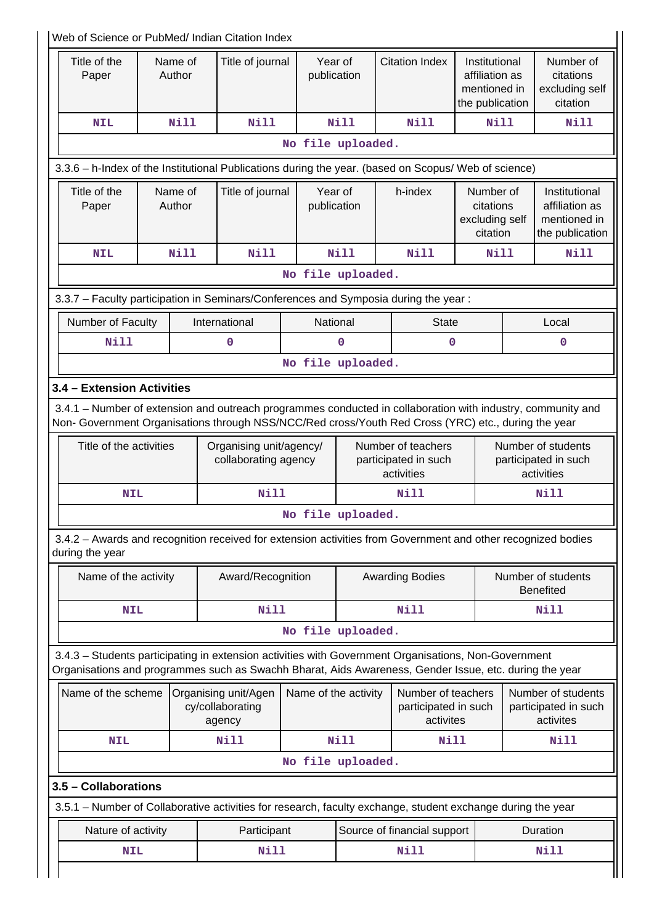| Web of Science or PubMed/ Indian Citation Index                                                                                                                                                                    |                   |                   |                                                    |                      |                        |                                                          |                                                                    |                                        |                                                                    |  |  |
|--------------------------------------------------------------------------------------------------------------------------------------------------------------------------------------------------------------------|-------------------|-------------------|----------------------------------------------------|----------------------|------------------------|----------------------------------------------------------|--------------------------------------------------------------------|----------------------------------------|--------------------------------------------------------------------|--|--|
| Title of the<br>Paper                                                                                                                                                                                              |                   | Name of<br>Author | Title of journal                                   |                      | Year of<br>publication | <b>Citation Index</b>                                    | Institutional<br>affiliation as<br>mentioned in<br>the publication |                                        | Number of<br>citations<br>excluding self<br>citation               |  |  |
| <b>NIL</b>                                                                                                                                                                                                         |                   | Nill              | <b>Nill</b>                                        |                      | <b>Nill</b>            | Nill                                                     | Nill                                                               |                                        | Nill                                                               |  |  |
|                                                                                                                                                                                                                    |                   |                   |                                                    | No file uploaded.    |                        |                                                          |                                                                    |                                        |                                                                    |  |  |
| 3.3.6 - h-Index of the Institutional Publications during the year. (based on Scopus/ Web of science)                                                                                                               |                   |                   |                                                    |                      |                        |                                                          |                                                                    |                                        |                                                                    |  |  |
| Title of the<br>Paper                                                                                                                                                                                              | Name of<br>Author |                   | Title of journal                                   |                      | Year of<br>publication | h-index                                                  | Number of<br>citations<br>excluding self<br>citation               |                                        | Institutional<br>affiliation as<br>mentioned in<br>the publication |  |  |
| <b>NIL</b>                                                                                                                                                                                                         |                   | <b>Nill</b>       | <b>Nill</b>                                        |                      | Nill                   | Nill                                                     | Nill                                                               |                                        | Nill                                                               |  |  |
|                                                                                                                                                                                                                    |                   |                   |                                                    | No file uploaded.    |                        |                                                          |                                                                    |                                        |                                                                    |  |  |
| 3.3.7 - Faculty participation in Seminars/Conferences and Symposia during the year:                                                                                                                                |                   |                   |                                                    |                      |                        |                                                          |                                                                    |                                        |                                                                    |  |  |
| Number of Faculty                                                                                                                                                                                                  |                   |                   | International                                      |                      | National               | <b>State</b>                                             |                                                                    |                                        | Local                                                              |  |  |
| <b>Nill</b>                                                                                                                                                                                                        |                   |                   | 0                                                  |                      | $\Omega$               | $\mathbf 0$                                              |                                                                    |                                        | $\mathbf 0$                                                        |  |  |
|                                                                                                                                                                                                                    |                   |                   |                                                    | No file uploaded.    |                        |                                                          |                                                                    |                                        |                                                                    |  |  |
| 3.4 - Extension Activities                                                                                                                                                                                         |                   |                   |                                                    |                      |                        |                                                          |                                                                    |                                        |                                                                    |  |  |
| 3.4.1 – Number of extension and outreach programmes conducted in collaboration with industry, community and<br>Non- Government Organisations through NSS/NCC/Red cross/Youth Red Cross (YRC) etc., during the year |                   |                   |                                                    |                      |                        |                                                          |                                                                    |                                        |                                                                    |  |  |
| Title of the activities                                                                                                                                                                                            |                   |                   | Organising unit/agency/<br>collaborating agency    |                      |                        | Number of teachers<br>participated in such<br>activities |                                                                    |                                        | Number of students<br>participated in such<br>activities           |  |  |
| <b>NIL</b>                                                                                                                                                                                                         |                   |                   | <b>Nill</b>                                        | <b>Nill</b>          |                        |                                                          |                                                                    | <b>Nill</b>                            |                                                                    |  |  |
|                                                                                                                                                                                                                    |                   |                   |                                                    | No file uploaded.    |                        |                                                          |                                                                    |                                        |                                                                    |  |  |
| 3.4.2 - Awards and recognition received for extension activities from Government and other recognized bodies<br>during the year                                                                                    |                   |                   |                                                    |                      |                        |                                                          |                                                                    |                                        |                                                                    |  |  |
| Name of the activity                                                                                                                                                                                               |                   |                   | Award/Recognition                                  |                      | <b>Awarding Bodies</b> |                                                          |                                                                    | Number of students<br><b>Benefited</b> |                                                                    |  |  |
| <b>NIL</b>                                                                                                                                                                                                         |                   |                   | <b>Nill</b>                                        |                      |                        | <b>Nill</b>                                              |                                                                    |                                        | Nill                                                               |  |  |
|                                                                                                                                                                                                                    |                   |                   |                                                    | No file uploaded.    |                        |                                                          |                                                                    |                                        |                                                                    |  |  |
| 3.4.3 - Students participating in extension activities with Government Organisations, Non-Government<br>Organisations and programmes such as Swachh Bharat, Aids Awareness, Gender Issue, etc. during the year     |                   |                   |                                                    |                      |                        |                                                          |                                                                    |                                        |                                                                    |  |  |
| Name of the scheme                                                                                                                                                                                                 |                   |                   | Organising unit/Agen<br>cy/collaborating<br>agency | Name of the activity |                        | Number of teachers<br>participated in such<br>activites  |                                                                    |                                        | Number of students<br>participated in such<br>activites            |  |  |
| <b>NIL</b>                                                                                                                                                                                                         |                   |                   | <b>Nill</b>                                        |                      | <b>Nill</b>            | Nill                                                     |                                                                    |                                        | <b>Nill</b>                                                        |  |  |
|                                                                                                                                                                                                                    |                   |                   |                                                    | No file uploaded.    |                        |                                                          |                                                                    |                                        |                                                                    |  |  |
| 3.5 - Collaborations                                                                                                                                                                                               |                   |                   |                                                    |                      |                        |                                                          |                                                                    |                                        |                                                                    |  |  |
| 3.5.1 – Number of Collaborative activities for research, faculty exchange, student exchange during the year                                                                                                        |                   |                   |                                                    |                      |                        |                                                          |                                                                    |                                        |                                                                    |  |  |
| Nature of activity                                                                                                                                                                                                 |                   |                   | Participant                                        |                      |                        | Source of financial support                              |                                                                    |                                        | Duration                                                           |  |  |
| <b>NIL</b>                                                                                                                                                                                                         |                   |                   | Nill                                               |                      |                        | Nill                                                     |                                                                    |                                        | <b>Nill</b>                                                        |  |  |
|                                                                                                                                                                                                                    |                   |                   |                                                    |                      |                        |                                                          |                                                                    |                                        |                                                                    |  |  |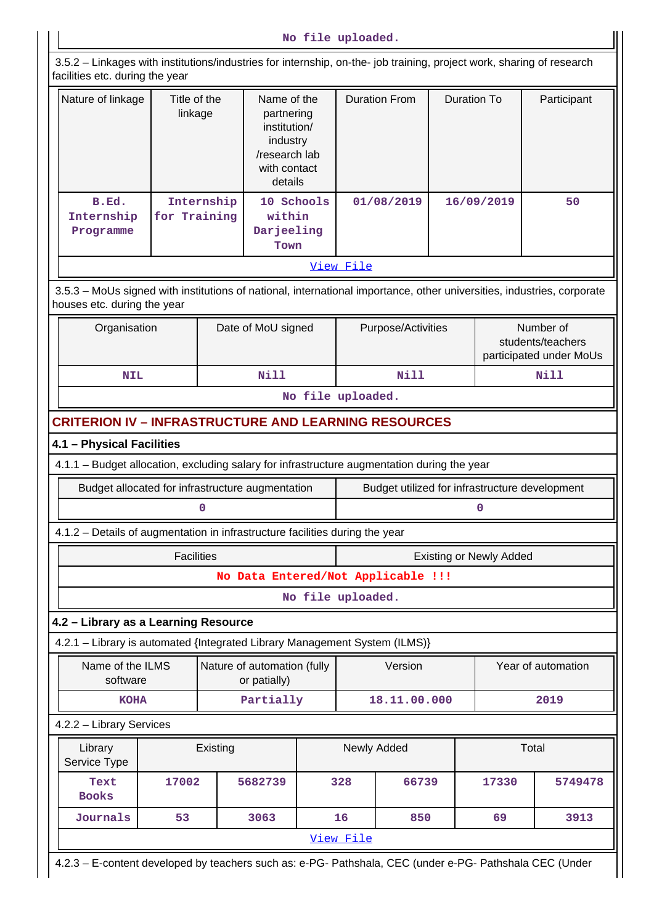|  |  | No file uploaded. |
|--|--|-------------------|
|--|--|-------------------|

 3.5.2 – Linkages with institutions/industries for internship, on-the- job training, project work, sharing of research facilities etc. during the year

| Nature of linkage                | Title of the<br>linkage    | Name of the<br>partnering<br>institution/<br>industry<br>/research lab<br>with contact<br>details | <b>Duration From</b> | Duration To | Participant |
|----------------------------------|----------------------------|---------------------------------------------------------------------------------------------------|----------------------|-------------|-------------|
| B.Ed.<br>Internship<br>Programme | Internship<br>for Training | 10 Schools<br>within<br>Darjeeling<br>Town                                                        | 01/08/2019           | 16/09/2019  | 50          |
|                                  |                            |                                                                                                   | View File            |             |             |

 3.5.3 – MoUs signed with institutions of national, international importance, other universities, industries, corporate houses etc. during the year

| Organisation | Date of MoU signed | Purpose/Activities | Number of<br>students/teachers<br>participated under MoUs |
|--------------|--------------------|--------------------|-----------------------------------------------------------|
| NIL          | Nill               | Nill               | Nill                                                      |
|              | - - -              | __                 |                                                           |

## **No file uploaded.**

### **CRITERION IV – INFRASTRUCTURE AND LEARNING RESOURCES**

#### **4.1 – Physical Facilities**

4.1.1 – Budget allocation, excluding salary for infrastructure augmentation during the year

| Budget allocated for infrastructure augmentation | Budget utilized for infrastructure development |
|--------------------------------------------------|------------------------------------------------|
|                                                  |                                                |

#### 4.1.2 – Details of augmentation in infrastructure facilities during the year

| Facilities                         | <b>Existing or Newly Added</b> |  |  |
|------------------------------------|--------------------------------|--|--|
| No Data Entered/Not Applicable !!! |                                |  |  |
| .                                  |                                |  |  |

#### **No file uploaded.**

#### **4.2 – Library as a Learning Resource**

4.2.1 – Library is automated {Integrated Library Management System (ILMS)}

| Name of the ILMS<br>software | Nature of automation (fully<br>or patially) | Version      | Year of automation |
|------------------------------|---------------------------------------------|--------------|--------------------|
| <b>KOHA</b>                  | Partially                                   | 18.11.00.000 | 2019               |

#### 4.2.2 – Library Services

| Library<br>Service Type | Existing |         | Newly Added |       | Total |         |
|-------------------------|----------|---------|-------------|-------|-------|---------|
| Text<br><b>Books</b>    | 17002    | 5682739 | 328         | 66739 | 17330 | 5749478 |
| Journals                | 53       | 3063    | 16          | 850   | 69    | 3913    |
| View File               |          |         |             |       |       |         |

4.2.3 – E-content developed by teachers such as: e-PG- Pathshala, CEC (under e-PG- Pathshala CEC (Under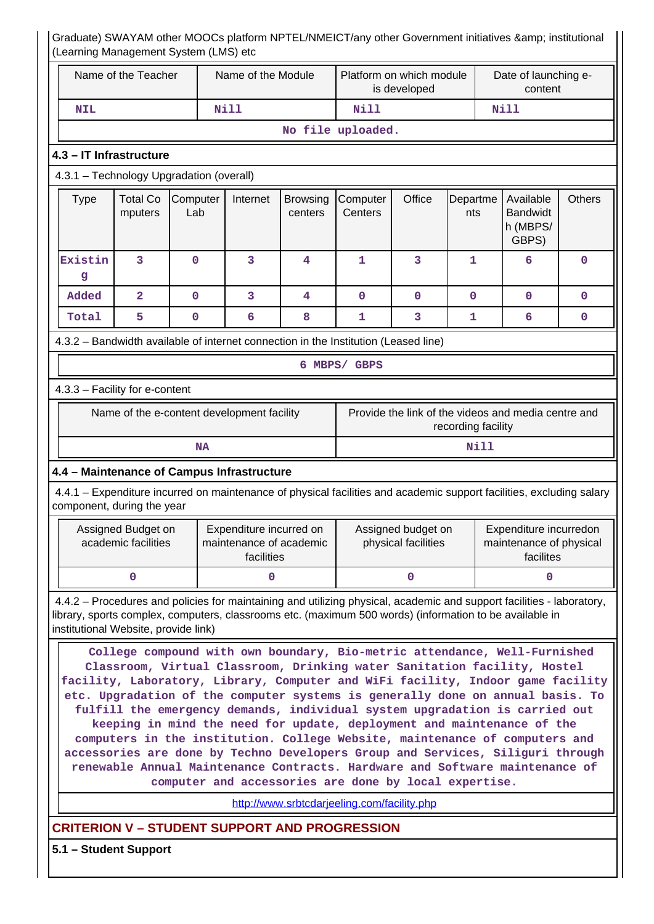| (Learning Management System (LMS) etc                                                                                                                                                                                                                                                                                                                                                                                                                                                                                                                                                                                                                                                                                                                                                                                                        |                                           |                                            |                                                                  |                            |                                           |                                          |                    | Graduate) SWAYAM other MOOCs platform NPTEL/NMEICT/any other Government initiatives & institutional                                                                                                                              |               |  |
|----------------------------------------------------------------------------------------------------------------------------------------------------------------------------------------------------------------------------------------------------------------------------------------------------------------------------------------------------------------------------------------------------------------------------------------------------------------------------------------------------------------------------------------------------------------------------------------------------------------------------------------------------------------------------------------------------------------------------------------------------------------------------------------------------------------------------------------------|-------------------------------------------|--------------------------------------------|------------------------------------------------------------------|----------------------------|-------------------------------------------|------------------------------------------|--------------------|----------------------------------------------------------------------------------------------------------------------------------------------------------------------------------------------------------------------------------|---------------|--|
|                                                                                                                                                                                                                                                                                                                                                                                                                                                                                                                                                                                                                                                                                                                                                                                                                                              | Name of the Teacher                       |                                            | Name of the Module                                               |                            |                                           | Platform on which module<br>is developed |                    | Date of launching e-<br>content                                                                                                                                                                                                  |               |  |
| <b>NIL</b>                                                                                                                                                                                                                                                                                                                                                                                                                                                                                                                                                                                                                                                                                                                                                                                                                                   |                                           |                                            | <b>Nill</b>                                                      |                            |                                           | <b>Nill</b><br>Nill                      |                    |                                                                                                                                                                                                                                  |               |  |
|                                                                                                                                                                                                                                                                                                                                                                                                                                                                                                                                                                                                                                                                                                                                                                                                                                              |                                           |                                            |                                                                  |                            | No file uploaded.                         |                                          |                    |                                                                                                                                                                                                                                  |               |  |
| 4.3 - IT Infrastructure                                                                                                                                                                                                                                                                                                                                                                                                                                                                                                                                                                                                                                                                                                                                                                                                                      |                                           |                                            |                                                                  |                            |                                           |                                          |                    |                                                                                                                                                                                                                                  |               |  |
| 4.3.1 - Technology Upgradation (overall)                                                                                                                                                                                                                                                                                                                                                                                                                                                                                                                                                                                                                                                                                                                                                                                                     |                                           |                                            |                                                                  |                            |                                           |                                          |                    |                                                                                                                                                                                                                                  |               |  |
| <b>Type</b>                                                                                                                                                                                                                                                                                                                                                                                                                                                                                                                                                                                                                                                                                                                                                                                                                                  | <b>Total Co</b><br>mputers                | Computer<br>Lab                            | Internet                                                         | <b>Browsing</b><br>centers | Computer<br>Centers                       | Office                                   | Departme<br>nts    | Available<br><b>Bandwidt</b><br>h (MBPS/<br>GBPS)                                                                                                                                                                                | <b>Others</b> |  |
| Existin<br>g                                                                                                                                                                                                                                                                                                                                                                                                                                                                                                                                                                                                                                                                                                                                                                                                                                 | 3                                         | $\overline{0}$                             | 3                                                                | $\overline{\mathbf{4}}$    | $\mathbf{1}$                              | 3                                        | $\mathbf{1}$       | 6                                                                                                                                                                                                                                | $\mathbf 0$   |  |
| Added                                                                                                                                                                                                                                                                                                                                                                                                                                                                                                                                                                                                                                                                                                                                                                                                                                        | $\overline{a}$                            | 0                                          | 3                                                                | 4                          | 0                                         | $\mathbf 0$                              | 0                  | $\mathbf 0$                                                                                                                                                                                                                      | $\mathbf 0$   |  |
| Total                                                                                                                                                                                                                                                                                                                                                                                                                                                                                                                                                                                                                                                                                                                                                                                                                                        | 5                                         | $\mathbf 0$                                | 6                                                                | 8                          | $\mathbf{1}$                              | 3                                        | 1                  | 6                                                                                                                                                                                                                                | 0             |  |
| 4.3.2 - Bandwidth available of internet connection in the Institution (Leased line)                                                                                                                                                                                                                                                                                                                                                                                                                                                                                                                                                                                                                                                                                                                                                          |                                           |                                            |                                                                  |                            |                                           |                                          |                    |                                                                                                                                                                                                                                  |               |  |
|                                                                                                                                                                                                                                                                                                                                                                                                                                                                                                                                                                                                                                                                                                                                                                                                                                              |                                           |                                            |                                                                  |                            | 6 MBPS/ GBPS                              |                                          |                    |                                                                                                                                                                                                                                  |               |  |
| 4.3.3 - Facility for e-content                                                                                                                                                                                                                                                                                                                                                                                                                                                                                                                                                                                                                                                                                                                                                                                                               |                                           |                                            |                                                                  |                            |                                           |                                          |                    |                                                                                                                                                                                                                                  |               |  |
|                                                                                                                                                                                                                                                                                                                                                                                                                                                                                                                                                                                                                                                                                                                                                                                                                                              |                                           | Name of the e-content development facility |                                                                  |                            |                                           |                                          | recording facility | Provide the link of the videos and media centre and                                                                                                                                                                              |               |  |
|                                                                                                                                                                                                                                                                                                                                                                                                                                                                                                                                                                                                                                                                                                                                                                                                                                              |                                           | <b>NA</b>                                  |                                                                  |                            |                                           |                                          | <b>Nill</b>        |                                                                                                                                                                                                                                  |               |  |
| 4.4 - Maintenance of Campus Infrastructure                                                                                                                                                                                                                                                                                                                                                                                                                                                                                                                                                                                                                                                                                                                                                                                                   |                                           |                                            |                                                                  |                            |                                           |                                          |                    |                                                                                                                                                                                                                                  |               |  |
| component, during the year                                                                                                                                                                                                                                                                                                                                                                                                                                                                                                                                                                                                                                                                                                                                                                                                                   |                                           |                                            |                                                                  |                            |                                           |                                          |                    | 4.4.1 - Expenditure incurred on maintenance of physical facilities and academic support facilities, excluding salary                                                                                                             |               |  |
| ┍                                                                                                                                                                                                                                                                                                                                                                                                                                                                                                                                                                                                                                                                                                                                                                                                                                            | Assigned Budget on<br>academic facilities |                                            | Expenditure incurred on<br>maintenance of academic<br>facilities |                            | Assigned budget on<br>physical facilities |                                          |                    | Expenditure incurredon<br>maintenance of physical<br>facilites                                                                                                                                                                   |               |  |
|                                                                                                                                                                                                                                                                                                                                                                                                                                                                                                                                                                                                                                                                                                                                                                                                                                              | $\mathbf 0$                               |                                            | 0                                                                |                            | 0                                         |                                          |                    | $\mathbf 0$                                                                                                                                                                                                                      |               |  |
| institutional Website, provide link)                                                                                                                                                                                                                                                                                                                                                                                                                                                                                                                                                                                                                                                                                                                                                                                                         |                                           |                                            |                                                                  |                            |                                           |                                          |                    | 4.4.2 – Procedures and policies for maintaining and utilizing physical, academic and support facilities - laboratory,<br>library, sports complex, computers, classrooms etc. (maximum 500 words) (information to be available in |               |  |
| College compound with own boundary, Bio-metric attendance, Well-Furnished<br>Classroom, Virtual Classroom, Drinking water Sanitation facility, Hostel<br>facility, Laboratory, Library, Computer and WiFi facility, Indoor game facility<br>etc. Upgradation of the computer systems is generally done on annual basis. To<br>fulfill the emergency demands, individual system upgradation is carried out<br>keeping in mind the need for update, deployment and maintenance of the<br>computers in the institution. College Website, maintenance of computers and<br>accessories are done by Techno Developers Group and Services, Siliguri through<br>renewable Annual Maintenance Contracts. Hardware and Software maintenance of<br>computer and accessories are done by local expertise.<br>http://www.srbtcdarjeeling.com/facility.php |                                           |                                            |                                                                  |                            |                                           |                                          |                    |                                                                                                                                                                                                                                  |               |  |
| <b>CRITERION V - STUDENT SUPPORT AND PROGRESSION</b>                                                                                                                                                                                                                                                                                                                                                                                                                                                                                                                                                                                                                                                                                                                                                                                         |                                           |                                            |                                                                  |                            |                                           |                                          |                    |                                                                                                                                                                                                                                  |               |  |
|                                                                                                                                                                                                                                                                                                                                                                                                                                                                                                                                                                                                                                                                                                                                                                                                                                              | 5.1 - Student Support                     |                                            |                                                                  |                            |                                           |                                          |                    |                                                                                                                                                                                                                                  |               |  |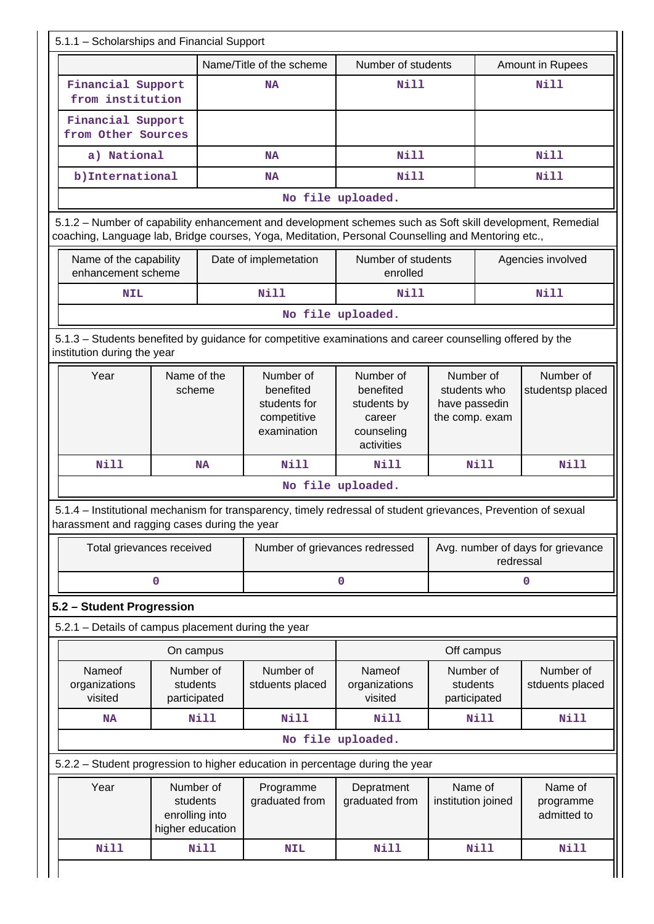| Name/Title of the scheme                                                         |                                                             |      | Number of students                                                                                                                                                                                              |                                                                             |                                                              | Amount in Rupees |                                                                                             |
|----------------------------------------------------------------------------------|-------------------------------------------------------------|------|-----------------------------------------------------------------------------------------------------------------------------------------------------------------------------------------------------------------|-----------------------------------------------------------------------------|--------------------------------------------------------------|------------------|---------------------------------------------------------------------------------------------|
| Financial Support<br>from institution                                            |                                                             |      | <b>NA</b>                                                                                                                                                                                                       | Nill                                                                        |                                                              |                  | <b>Nill</b>                                                                                 |
| Financial Support<br>from Other Sources                                          |                                                             |      |                                                                                                                                                                                                                 |                                                                             |                                                              |                  |                                                                                             |
| a) National                                                                      |                                                             |      | <b>NA</b>                                                                                                                                                                                                       | <b>Nill</b>                                                                 |                                                              |                  | <b>Nill</b>                                                                                 |
| b) International<br><b>NA</b>                                                    |                                                             |      |                                                                                                                                                                                                                 | <b>Nill</b>                                                                 |                                                              |                  | <b>Nill</b>                                                                                 |
|                                                                                  |                                                             |      |                                                                                                                                                                                                                 | No file uploaded.                                                           |                                                              |                  |                                                                                             |
|                                                                                  |                                                             |      | 5.1.2 - Number of capability enhancement and development schemes such as Soft skill development, Remedial<br>coaching, Language lab, Bridge courses, Yoga, Meditation, Personal Counselling and Mentoring etc., |                                                                             |                                                              |                  |                                                                                             |
| Name of the capability<br>enhancement scheme                                     |                                                             |      | Date of implemetation                                                                                                                                                                                           | Number of students<br>enrolled                                              |                                                              |                  | Agencies involved                                                                           |
| <b>NIL</b>                                                                       |                                                             |      | <b>Nill</b>                                                                                                                                                                                                     | Nill                                                                        |                                                              |                  | <b>Nill</b>                                                                                 |
|                                                                                  |                                                             |      |                                                                                                                                                                                                                 | No file uploaded.                                                           |                                                              |                  |                                                                                             |
| institution during the year                                                      |                                                             |      | 5.1.3 - Students benefited by guidance for competitive examinations and career counselling offered by the                                                                                                       |                                                                             |                                                              |                  |                                                                                             |
| Year                                                                             | Name of the<br>scheme                                       |      | Number of<br>benefited<br>students for<br>competitive<br>examination                                                                                                                                            | Number of<br>benefited<br>students by<br>career<br>counseling<br>activities | Number of<br>students who<br>have passedin<br>the comp. exam |                  | Number of<br>studentsp placed                                                               |
| <b>Nill</b>                                                                      | <b>NA</b>                                                   |      |                                                                                                                                                                                                                 |                                                                             |                                                              |                  |                                                                                             |
|                                                                                  |                                                             |      | <b>Nill</b>                                                                                                                                                                                                     | Nill<br>No file uploaded.                                                   |                                                              | Nill             | Nill                                                                                        |
| harassment and ragging cases during the year                                     |                                                             |      | 5.1.4 – Institutional mechanism for transparency, timely redressal of student grievances, Prevention of sexual                                                                                                  |                                                                             |                                                              |                  |                                                                                             |
| Total grievances received                                                        |                                                             |      | Number of grievances redressed                                                                                                                                                                                  |                                                                             |                                                              | redressal        |                                                                                             |
|                                                                                  | 0                                                           |      |                                                                                                                                                                                                                 | 0                                                                           |                                                              |                  | 0                                                                                           |
| 5.2 - Student Progression<br>5.2.1 - Details of campus placement during the year |                                                             |      |                                                                                                                                                                                                                 |                                                                             |                                                              |                  |                                                                                             |
|                                                                                  | On campus                                                   |      |                                                                                                                                                                                                                 |                                                                             | Off campus                                                   |                  |                                                                                             |
| Nameof<br>organizations<br>visited                                               | Number of<br>students<br>participated                       |      | Number of<br>stduents placed                                                                                                                                                                                    | Nameof<br>organizations<br>visited                                          | Number of<br>students<br>participated                        |                  | Number of                                                                                   |
| NA                                                                               |                                                             | Nill | <b>Nill</b>                                                                                                                                                                                                     | <b>Nill</b>                                                                 |                                                              | Nill             | <b>Nill</b>                                                                                 |
|                                                                                  |                                                             |      |                                                                                                                                                                                                                 | No file uploaded.                                                           |                                                              |                  |                                                                                             |
|                                                                                  |                                                             |      | 5.2.2 - Student progression to higher education in percentage during the year                                                                                                                                   |                                                                             |                                                              |                  |                                                                                             |
| Year                                                                             | Number of<br>students<br>enrolling into<br>higher education |      | Programme<br>graduated from                                                                                                                                                                                     | Depratment<br>graduated from                                                | Name of<br>institution joined                                |                  | Avg. number of days for grievance<br>stduents placed<br>Name of<br>programme<br>admitted to |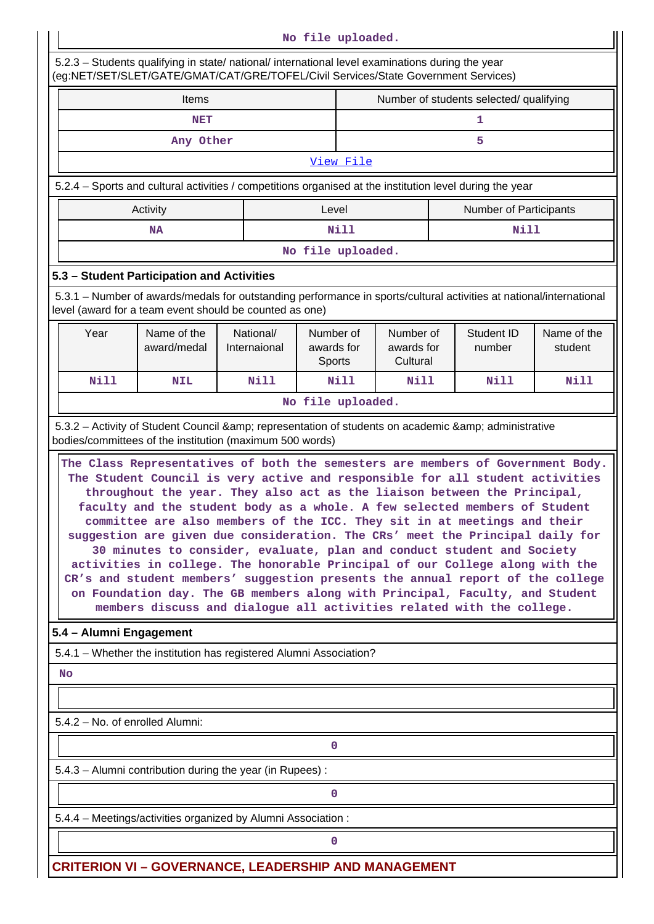|                                                                                                                                                                                                                                                                                                                                                                                                                                                                                                                                                                                                                                                                                                                                                                                                                                                                                                                                                                                                                                                                        |                                                                                                                                                                                        |                           | No file uploaded.                                                        |                                         |                      |                        |  |
|------------------------------------------------------------------------------------------------------------------------------------------------------------------------------------------------------------------------------------------------------------------------------------------------------------------------------------------------------------------------------------------------------------------------------------------------------------------------------------------------------------------------------------------------------------------------------------------------------------------------------------------------------------------------------------------------------------------------------------------------------------------------------------------------------------------------------------------------------------------------------------------------------------------------------------------------------------------------------------------------------------------------------------------------------------------------|----------------------------------------------------------------------------------------------------------------------------------------------------------------------------------------|---------------------------|--------------------------------------------------------------------------|-----------------------------------------|----------------------|------------------------|--|
|                                                                                                                                                                                                                                                                                                                                                                                                                                                                                                                                                                                                                                                                                                                                                                                                                                                                                                                                                                                                                                                                        | 5.2.3 - Students qualifying in state/ national/ international level examinations during the year<br>(eg:NET/SET/SLET/GATE/GMAT/CAT/GRE/TOFEL/Civil Services/State Government Services) |                           |                                                                          |                                         |                      |                        |  |
|                                                                                                                                                                                                                                                                                                                                                                                                                                                                                                                                                                                                                                                                                                                                                                                                                                                                                                                                                                                                                                                                        | <b>Items</b>                                                                                                                                                                           |                           |                                                                          | Number of students selected/ qualifying |                      |                        |  |
|                                                                                                                                                                                                                                                                                                                                                                                                                                                                                                                                                                                                                                                                                                                                                                                                                                                                                                                                                                                                                                                                        | <b>NET</b>                                                                                                                                                                             |                           |                                                                          | 1                                       |                      |                        |  |
|                                                                                                                                                                                                                                                                                                                                                                                                                                                                                                                                                                                                                                                                                                                                                                                                                                                                                                                                                                                                                                                                        | Any Other                                                                                                                                                                              |                           |                                                                          |                                         | 5                    |                        |  |
|                                                                                                                                                                                                                                                                                                                                                                                                                                                                                                                                                                                                                                                                                                                                                                                                                                                                                                                                                                                                                                                                        |                                                                                                                                                                                        |                           | View File                                                                |                                         |                      |                        |  |
|                                                                                                                                                                                                                                                                                                                                                                                                                                                                                                                                                                                                                                                                                                                                                                                                                                                                                                                                                                                                                                                                        | 5.2.4 – Sports and cultural activities / competitions organised at the institution level during the year                                                                               |                           |                                                                          |                                         |                      |                        |  |
| Activity<br>Level<br><b>Number of Participants</b>                                                                                                                                                                                                                                                                                                                                                                                                                                                                                                                                                                                                                                                                                                                                                                                                                                                                                                                                                                                                                     |                                                                                                                                                                                        |                           |                                                                          |                                         |                      |                        |  |
|                                                                                                                                                                                                                                                                                                                                                                                                                                                                                                                                                                                                                                                                                                                                                                                                                                                                                                                                                                                                                                                                        | ΝA                                                                                                                                                                                     |                           | Nill                                                                     |                                         | <b>Nill</b>          |                        |  |
|                                                                                                                                                                                                                                                                                                                                                                                                                                                                                                                                                                                                                                                                                                                                                                                                                                                                                                                                                                                                                                                                        |                                                                                                                                                                                        |                           | No file uploaded.                                                        |                                         |                      |                        |  |
|                                                                                                                                                                                                                                                                                                                                                                                                                                                                                                                                                                                                                                                                                                                                                                                                                                                                                                                                                                                                                                                                        | 5.3 - Student Participation and Activities                                                                                                                                             |                           |                                                                          |                                         |                      |                        |  |
|                                                                                                                                                                                                                                                                                                                                                                                                                                                                                                                                                                                                                                                                                                                                                                                                                                                                                                                                                                                                                                                                        | 5.3.1 – Number of awards/medals for outstanding performance in sports/cultural activities at national/international<br>level (award for a team event should be counted as one)         |                           |                                                                          |                                         |                      |                        |  |
| Year                                                                                                                                                                                                                                                                                                                                                                                                                                                                                                                                                                                                                                                                                                                                                                                                                                                                                                                                                                                                                                                                   | Name of the<br>award/medal                                                                                                                                                             | National/<br>Internaional | Number of<br>Number of<br>awards for<br>awards for<br>Cultural<br>Sports |                                         | Student ID<br>number | Name of the<br>student |  |
| <b>Nill</b>                                                                                                                                                                                                                                                                                                                                                                                                                                                                                                                                                                                                                                                                                                                                                                                                                                                                                                                                                                                                                                                            | <b>NIL</b>                                                                                                                                                                             | <b>Nill</b>               | Nill                                                                     | Nill                                    | Nill                 | Nill                   |  |
|                                                                                                                                                                                                                                                                                                                                                                                                                                                                                                                                                                                                                                                                                                                                                                                                                                                                                                                                                                                                                                                                        |                                                                                                                                                                                        |                           | No file uploaded.                                                        |                                         |                      |                        |  |
| bodies/committees of the institution (maximum 500 words)<br>The Class Representatives of both the semesters are members of Government Body.<br>The Student Council is very active and responsible for all student activities<br>throughout the year. They also act as the liaison between the Principal,<br>faculty and the student body as a whole. A few selected members of Student<br>committee are also members of the ICC. They sit in at meetings and their<br>suggestion are given due consideration. The CRs' meet the Principal daily for<br>30 minutes to consider, evaluate, plan and conduct student and Society<br>activities in college. The honorable Principal of our College along with the<br>CR's and student members' suggestion presents the annual report of the college<br>on Foundation day. The GB members along with Principal, Faculty, and Student<br>members discuss and dialogue all activities related with the college.<br>5.4 - Alumni Engagement<br>5.4.1 - Whether the institution has registered Alumni Association?<br><b>No</b> |                                                                                                                                                                                        |                           |                                                                          |                                         |                      |                        |  |
| 5.4.2 - No. of enrolled Alumni:                                                                                                                                                                                                                                                                                                                                                                                                                                                                                                                                                                                                                                                                                                                                                                                                                                                                                                                                                                                                                                        |                                                                                                                                                                                        |                           |                                                                          |                                         |                      |                        |  |
|                                                                                                                                                                                                                                                                                                                                                                                                                                                                                                                                                                                                                                                                                                                                                                                                                                                                                                                                                                                                                                                                        |                                                                                                                                                                                        |                           | 0                                                                        |                                         |                      |                        |  |
|                                                                                                                                                                                                                                                                                                                                                                                                                                                                                                                                                                                                                                                                                                                                                                                                                                                                                                                                                                                                                                                                        | 5.4.3 - Alumni contribution during the year (in Rupees):                                                                                                                               |                           |                                                                          |                                         |                      |                        |  |
|                                                                                                                                                                                                                                                                                                                                                                                                                                                                                                                                                                                                                                                                                                                                                                                                                                                                                                                                                                                                                                                                        |                                                                                                                                                                                        |                           | 0                                                                        |                                         |                      |                        |  |
|                                                                                                                                                                                                                                                                                                                                                                                                                                                                                                                                                                                                                                                                                                                                                                                                                                                                                                                                                                                                                                                                        | 5.4.4 - Meetings/activities organized by Alumni Association:                                                                                                                           |                           |                                                                          |                                         |                      |                        |  |
|                                                                                                                                                                                                                                                                                                                                                                                                                                                                                                                                                                                                                                                                                                                                                                                                                                                                                                                                                                                                                                                                        |                                                                                                                                                                                        |                           | 0                                                                        |                                         |                      |                        |  |
|                                                                                                                                                                                                                                                                                                                                                                                                                                                                                                                                                                                                                                                                                                                                                                                                                                                                                                                                                                                                                                                                        | <b>CRITERION VI - GOVERNANCE, LEADERSHIP AND MANAGEMENT</b>                                                                                                                            |                           |                                                                          |                                         |                      |                        |  |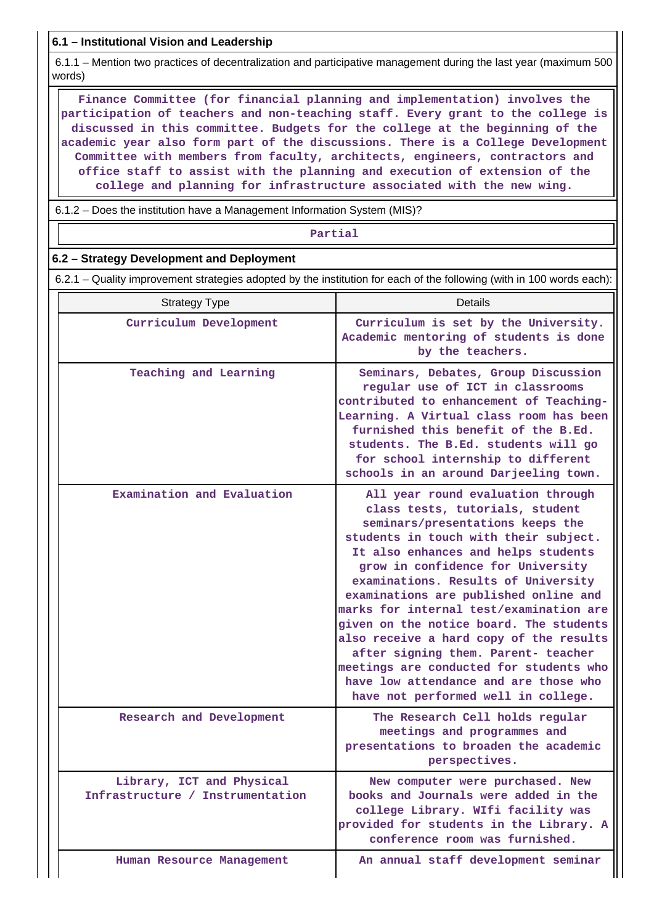**6.1 – Institutional Vision and Leadership**

 6.1.1 – Mention two practices of decentralization and participative management during the last year (maximum 500 words)

 **Finance Committee (for financial planning and implementation) involves the participation of teachers and non-teaching staff. Every grant to the college is discussed in this committee. Budgets for the college at the beginning of the academic year also form part of the discussions. There is a College Development Committee with members from faculty, architects, engineers, contractors and office staff to assist with the planning and execution of extension of the college and planning for infrastructure associated with the new wing.**

6.1.2 – Does the institution have a Management Information System (MIS)?

#### **Partial**

#### **6.2 – Strategy Development and Deployment**

6.2.1 – Quality improvement strategies adopted by the institution for each of the following (with in 100 words each):

| <b>Strategy Type</b>                                          | Details                                                                                                                                                                                                                                                                                                                                                                                                                                                                                                                                                                                                          |
|---------------------------------------------------------------|------------------------------------------------------------------------------------------------------------------------------------------------------------------------------------------------------------------------------------------------------------------------------------------------------------------------------------------------------------------------------------------------------------------------------------------------------------------------------------------------------------------------------------------------------------------------------------------------------------------|
| Curriculum Development                                        | Curriculum is set by the University.<br>Academic mentoring of students is done<br>by the teachers.                                                                                                                                                                                                                                                                                                                                                                                                                                                                                                               |
| Teaching and Learning                                         | Seminars, Debates, Group Discussion<br>regular use of ICT in classrooms<br>contributed to enhancement of Teaching-<br>Learning. A Virtual class room has been<br>furnished this benefit of the B.Ed.<br>students. The B.Ed. students will go<br>for school internship to different<br>schools in an around Darjeeling town.                                                                                                                                                                                                                                                                                      |
| Examination and Evaluation                                    | All year round evaluation through<br>class tests, tutorials, student<br>seminars/presentations keeps the<br>students in touch with their subject.<br>It also enhances and helps students<br>grow in confidence for University<br>examinations. Results of University<br>examinations are published online and<br>marks for internal test/examination are<br>given on the notice board. The students<br>also receive a hard copy of the results<br>after signing them. Parent- teacher<br>meetings are conducted for students who<br>have low attendance and are those who<br>have not performed well in college. |
| Research and Development                                      | The Research Cell holds regular<br>meetings and programmes and<br>presentations to broaden the academic<br>perspectives.                                                                                                                                                                                                                                                                                                                                                                                                                                                                                         |
| Library, ICT and Physical<br>Infrastructure / Instrumentation | New computer were purchased.<br>books and Journals were added in the<br>college Library. WIfi facility was<br>provided for students in the Library. A<br>conference room was furnished.                                                                                                                                                                                                                                                                                                                                                                                                                          |
| Human Resource Management                                     | An annual staff development seminar                                                                                                                                                                                                                                                                                                                                                                                                                                                                                                                                                                              |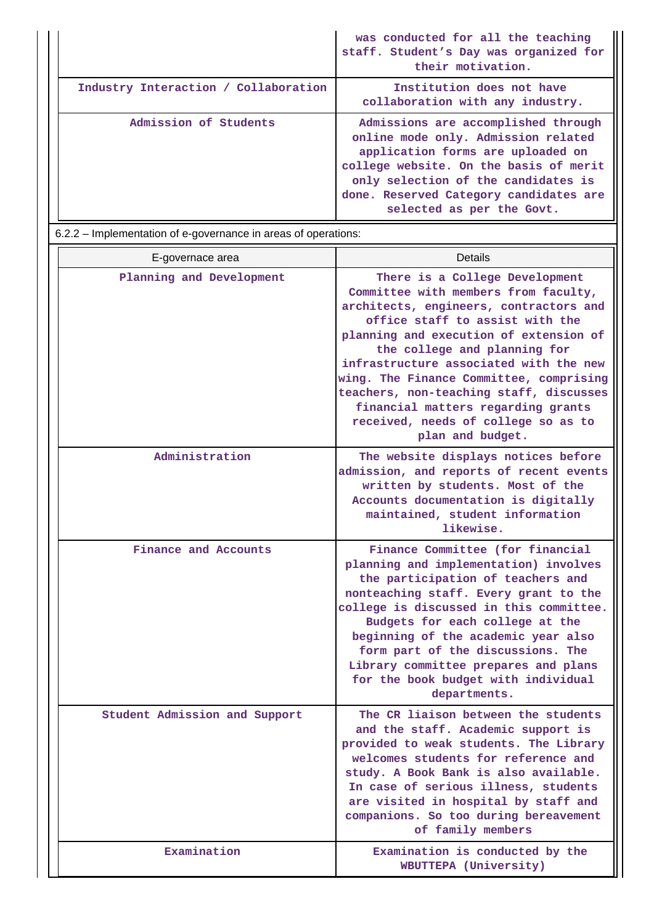|                                      | was conducted for all the teaching<br>staff. Student's Day was organized for<br>their motivation.                                                                                                                                                                       |
|--------------------------------------|-------------------------------------------------------------------------------------------------------------------------------------------------------------------------------------------------------------------------------------------------------------------------|
| Industry Interaction / Collaboration | Institution does not have<br>collaboration with any industry.                                                                                                                                                                                                           |
| Admission of Students                | Admissions are accomplished through<br>online mode only. Admission related<br>application forms are uploaded on<br>college website. On the basis of merit<br>only selection of the candidates is<br>done. Reserved Category candidates are<br>selected as per the Govt. |

6.2.2 – Implementation of e-governance in areas of operations:

| E-governace area              | Details                                                                                                                                                                                                                                                                                                                                                                                                                                                        |  |  |  |
|-------------------------------|----------------------------------------------------------------------------------------------------------------------------------------------------------------------------------------------------------------------------------------------------------------------------------------------------------------------------------------------------------------------------------------------------------------------------------------------------------------|--|--|--|
| Planning and Development      | There is a College Development<br>Committee with members from faculty,<br>architects, engineers, contractors and<br>office staff to assist with the<br>planning and execution of extension of<br>the college and planning for<br>infrastructure associated with the new<br>wing. The Finance Committee, comprising<br>teachers, non-teaching staff, discusses<br>financial matters regarding grants<br>received, needs of college so as to<br>plan and budget. |  |  |  |
| Administration                | The website displays notices before<br>admission, and reports of recent events<br>written by students. Most of the<br>Accounts documentation is digitally<br>maintained, student information<br>likewise.                                                                                                                                                                                                                                                      |  |  |  |
| Finance and Accounts          | Finance Committee (for financial<br>planning and implementation) involves<br>the participation of teachers and<br>nonteaching staff. Every grant to the<br>college is discussed in this committee.<br>Budgets for each college at the<br>beginning of the academic year also<br>form part of the discussions. The<br>Library committee prepares and plans<br>for the book budget with individual<br>departments.                                               |  |  |  |
| Student Admission and Support | The CR liaison between the students<br>and the staff. Academic support is<br>provided to weak students. The Library<br>welcomes students for reference and<br>study. A Book Bank is also available.<br>In case of serious illness, students<br>are visited in hospital by staff and<br>companions. So too during bereavement<br>of family members                                                                                                              |  |  |  |
| Examination                   | Examination is conducted by the<br>WBUTTEPA (University)                                                                                                                                                                                                                                                                                                                                                                                                       |  |  |  |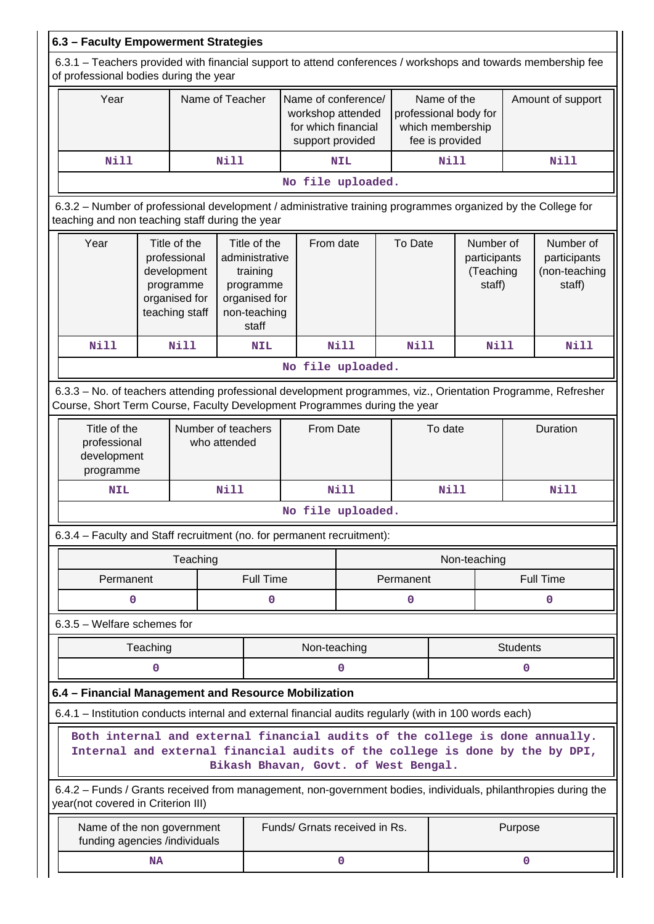| 6.3 - Faculty Empowerment Strategies                                                                                                                                                                 |                                                                                                                                                                 |           |          |                                                |                                                                                     |                   |             |                                                                             |                                                  |                   |                                                      |                                                                                                               |
|------------------------------------------------------------------------------------------------------------------------------------------------------------------------------------------------------|-----------------------------------------------------------------------------------------------------------------------------------------------------------------|-----------|----------|------------------------------------------------|-------------------------------------------------------------------------------------|-------------------|-------------|-----------------------------------------------------------------------------|--------------------------------------------------|-------------------|------------------------------------------------------|---------------------------------------------------------------------------------------------------------------|
| 6.3.1 – Teachers provided with financial support to attend conferences / workshops and towards membership fee<br>of professional bodies during the year                                              |                                                                                                                                                                 |           |          |                                                |                                                                                     |                   |             |                                                                             |                                                  |                   |                                                      |                                                                                                               |
|                                                                                                                                                                                                      | Year<br>Name of Teacher                                                                                                                                         |           |          |                                                | Name of conference/<br>workshop attended<br>for which financial<br>support provided |                   |             | Name of the<br>professional body for<br>which membership<br>fee is provided |                                                  | Amount of support |                                                      |                                                                                                               |
|                                                                                                                                                                                                      | Nill                                                                                                                                                            |           |          | Nill                                           |                                                                                     |                   | <b>NIL</b>  |                                                                             | <b>Nill</b>                                      |                   | <b>Nill</b>                                          |                                                                                                               |
|                                                                                                                                                                                                      |                                                                                                                                                                 |           |          |                                                |                                                                                     | No file uploaded. |             |                                                                             |                                                  |                   |                                                      |                                                                                                               |
|                                                                                                                                                                                                      | 6.3.2 – Number of professional development / administrative training programmes organized by the College for<br>teaching and non teaching staff during the year |           |          |                                                |                                                                                     |                   |             |                                                                             |                                                  |                   |                                                      |                                                                                                               |
|                                                                                                                                                                                                      | Year<br>Title of the<br>professional<br>development<br>programme<br>organised for<br>teaching staff                                                             |           |          | Title of the<br>training<br>programme<br>staff | From date<br>administrative<br>organised for<br>non-teaching                        |                   | To Date     |                                                                             | Number of<br>participants<br>(Teaching<br>staff) |                   | Number of<br>participants<br>(non-teaching<br>staff) |                                                                                                               |
|                                                                                                                                                                                                      | <b>Nill</b>                                                                                                                                                     |           | Nill     |                                                | <b>NIL</b>                                                                          |                   | <b>Nill</b> |                                                                             | <b>Nill</b>                                      | <b>Nill</b>       |                                                      | <b>Nill</b>                                                                                                   |
|                                                                                                                                                                                                      |                                                                                                                                                                 |           |          |                                                |                                                                                     | No file uploaded. |             |                                                                             |                                                  |                   |                                                      |                                                                                                               |
|                                                                                                                                                                                                      | Course, Short Term Course, Faculty Development Programmes during the year                                                                                       |           |          |                                                |                                                                                     |                   |             |                                                                             |                                                  |                   |                                                      | 6.3.3 - No. of teachers attending professional development programmes, viz., Orientation Programme, Refresher |
|                                                                                                                                                                                                      | Title of the<br>Number of teachers<br>professional<br>who attended<br>development<br>programme                                                                  |           |          | From Date                                      |                                                                                     |                   | To date     |                                                                             | Duration                                         |                   |                                                      |                                                                                                               |
|                                                                                                                                                                                                      | <b>NIL</b>                                                                                                                                                      |           |          | <b>Nill</b>                                    | <b>Nill</b>                                                                         |                   |             | <b>Nill</b>                                                                 |                                                  | <b>Nill</b>       |                                                      |                                                                                                               |
|                                                                                                                                                                                                      |                                                                                                                                                                 |           |          |                                                | No file uploaded.                                                                   |                   |             |                                                                             |                                                  |                   |                                                      |                                                                                                               |
|                                                                                                                                                                                                      | 6.3.4 – Faculty and Staff recruitment (no. for permanent recruitment):                                                                                          |           |          |                                                |                                                                                     |                   |             |                                                                             |                                                  |                   |                                                      |                                                                                                               |
|                                                                                                                                                                                                      |                                                                                                                                                                 |           | Teaching |                                                |                                                                                     |                   |             |                                                                             |                                                  | Non-teaching      |                                                      |                                                                                                               |
|                                                                                                                                                                                                      | Permanent                                                                                                                                                       |           |          |                                                | <b>Full Time</b>                                                                    |                   |             |                                                                             | Permanent                                        |                   | <b>Full Time</b>                                     |                                                                                                               |
|                                                                                                                                                                                                      | 0                                                                                                                                                               |           |          |                                                | 0<br>0                                                                              |                   |             |                                                                             | 0                                                |                   |                                                      |                                                                                                               |
|                                                                                                                                                                                                      | $6.3.5$ – Welfare schemes for                                                                                                                                   |           |          |                                                |                                                                                     |                   |             |                                                                             |                                                  |                   |                                                      |                                                                                                               |
|                                                                                                                                                                                                      |                                                                                                                                                                 | Teaching  |          |                                                |                                                                                     | Non-teaching      |             |                                                                             |                                                  |                   | <b>Students</b>                                      |                                                                                                               |
|                                                                                                                                                                                                      |                                                                                                                                                                 | 0         |          |                                                |                                                                                     |                   | 0           |                                                                             |                                                  |                   | 0                                                    |                                                                                                               |
|                                                                                                                                                                                                      | 6.4 - Financial Management and Resource Mobilization                                                                                                            |           |          |                                                |                                                                                     |                   |             |                                                                             |                                                  |                   |                                                      |                                                                                                               |
|                                                                                                                                                                                                      | 6.4.1 – Institution conducts internal and external financial audits regularly (with in 100 words each)                                                          |           |          |                                                |                                                                                     |                   |             |                                                                             |                                                  |                   |                                                      |                                                                                                               |
| Both internal and external financial audits of the college is done annually.<br>Internal and external financial audits of the college is done by the by DPI,<br>Bikash Bhavan, Govt. of West Bengal. |                                                                                                                                                                 |           |          |                                                |                                                                                     |                   |             |                                                                             |                                                  |                   |                                                      |                                                                                                               |
| 6.4.2 - Funds / Grants received from management, non-government bodies, individuals, philanthropies during the<br>year(not covered in Criterion III)                                                 |                                                                                                                                                                 |           |          |                                                |                                                                                     |                   |             |                                                                             |                                                  |                   |                                                      |                                                                                                               |
| Name of the non government<br>funding agencies /individuals                                                                                                                                          |                                                                                                                                                                 |           |          |                                                | Funds/ Grnats received in Rs.                                                       |                   |             |                                                                             | Purpose                                          |                   |                                                      |                                                                                                               |
|                                                                                                                                                                                                      |                                                                                                                                                                 | <b>NA</b> |          |                                                |                                                                                     |                   | $\mathbf 0$ |                                                                             |                                                  | 0                 |                                                      |                                                                                                               |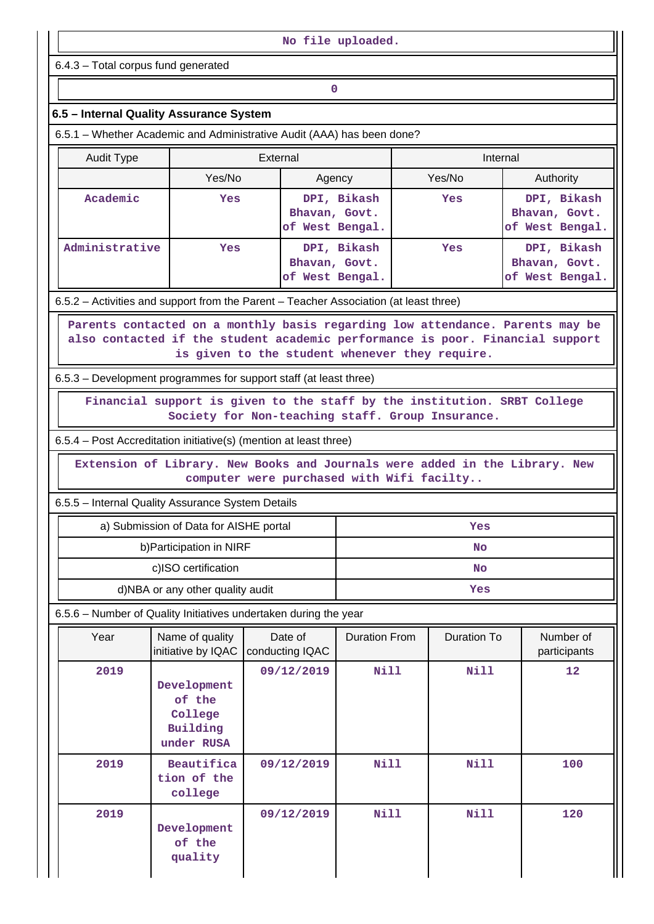| No file uploaded.                                                                     |                                                                                                                          |                                                                          |                                                                       |                                                 |                                                                                                                                                                |  |  |  |  |
|---------------------------------------------------------------------------------------|--------------------------------------------------------------------------------------------------------------------------|--------------------------------------------------------------------------|-----------------------------------------------------------------------|-------------------------------------------------|----------------------------------------------------------------------------------------------------------------------------------------------------------------|--|--|--|--|
| 6.4.3 - Total corpus fund generated                                                   |                                                                                                                          |                                                                          |                                                                       |                                                 |                                                                                                                                                                |  |  |  |  |
| $\mathbf 0$                                                                           |                                                                                                                          |                                                                          |                                                                       |                                                 |                                                                                                                                                                |  |  |  |  |
| 6.5 - Internal Quality Assurance System                                               |                                                                                                                          |                                                                          |                                                                       |                                                 |                                                                                                                                                                |  |  |  |  |
| 6.5.1 – Whether Academic and Administrative Audit (AAA) has been done?                |                                                                                                                          |                                                                          |                                                                       |                                                 |                                                                                                                                                                |  |  |  |  |
| External<br>Internal<br><b>Audit Type</b>                                             |                                                                                                                          |                                                                          |                                                                       |                                                 |                                                                                                                                                                |  |  |  |  |
|                                                                                       | Yes/No                                                                                                                   | Agency                                                                   |                                                                       | Yes/No<br>Authority                             |                                                                                                                                                                |  |  |  |  |
| Academic                                                                              | Yes                                                                                                                      | Bhavan, Govt.<br>of West Bengal.                                         | DPI, Bikash<br>DPI, Bikash<br>Yes<br>Bhavan, Govt.<br>of West Bengal. |                                                 |                                                                                                                                                                |  |  |  |  |
| Administrative                                                                        | Yes                                                                                                                      | Bhavan, Govt.<br>of West Bengal.                                         | DPI, Bikash                                                           | DPI, Bikash<br>Bhavan, Govt.<br>of West Bengal. |                                                                                                                                                                |  |  |  |  |
| 6.5.2 – Activities and support from the Parent – Teacher Association (at least three) |                                                                                                                          |                                                                          |                                                                       |                                                 |                                                                                                                                                                |  |  |  |  |
| 6.5.3 – Development programmes for support staff (at least three)                     |                                                                                                                          | is given to the student whenever they require.                           |                                                                       |                                                 | Parents contacted on a monthly basis regarding low attendance. Parents may be<br>also contacted if the student academic performance is poor. Financial support |  |  |  |  |
|                                                                                       |                                                                                                                          | Financial support is given to the staff by the institution. SRBT College |                                                                       |                                                 |                                                                                                                                                                |  |  |  |  |
|                                                                                       |                                                                                                                          | Society for Non-teaching staff. Group Insurance.                         |                                                                       |                                                 |                                                                                                                                                                |  |  |  |  |
| 6.5.4 – Post Accreditation initiative(s) (mention at least three)                     |                                                                                                                          |                                                                          |                                                                       |                                                 |                                                                                                                                                                |  |  |  |  |
|                                                                                       | Extension of Library. New Books and Journals were added in the Library. New<br>computer were purchased with Wifi facilty |                                                                          |                                                                       |                                                 |                                                                                                                                                                |  |  |  |  |
| 6.5.5 - Internal Quality Assurance System Details                                     |                                                                                                                          |                                                                          |                                                                       |                                                 |                                                                                                                                                                |  |  |  |  |
|                                                                                       | a) Submission of Data for AISHE portal                                                                                   |                                                                          |                                                                       | Yes                                             |                                                                                                                                                                |  |  |  |  |
|                                                                                       | b) Participation in NIRF                                                                                                 |                                                                          |                                                                       | <b>No</b>                                       |                                                                                                                                                                |  |  |  |  |
|                                                                                       | c)ISO certification                                                                                                      |                                                                          | <b>No</b>                                                             |                                                 |                                                                                                                                                                |  |  |  |  |
|                                                                                       | d)NBA or any other quality audit                                                                                         |                                                                          | Yes                                                                   |                                                 |                                                                                                                                                                |  |  |  |  |
| 6.5.6 - Number of Quality Initiatives undertaken during the year                      |                                                                                                                          |                                                                          |                                                                       |                                                 |                                                                                                                                                                |  |  |  |  |
| Year                                                                                  | Name of quality<br>initiative by IQAC                                                                                    | Date of<br>conducting IQAC                                               | <b>Duration From</b>                                                  | <b>Duration To</b>                              | Number of<br>participants                                                                                                                                      |  |  |  |  |
| 2019                                                                                  | Development<br>of the<br>College<br>Building<br>under RUSA                                                               | 09/12/2019                                                               | <b>Nill</b>                                                           | <b>Nill</b>                                     | 12                                                                                                                                                             |  |  |  |  |
| 2019                                                                                  | Beautifica<br>tion of the<br>college                                                                                     | 09/12/2019                                                               | Nill                                                                  | <b>Nill</b>                                     | 100                                                                                                                                                            |  |  |  |  |
| 2019                                                                                  | Development<br>of the<br>quality                                                                                         | 09/12/2019                                                               | <b>Nill</b>                                                           | <b>Nill</b>                                     | 120                                                                                                                                                            |  |  |  |  |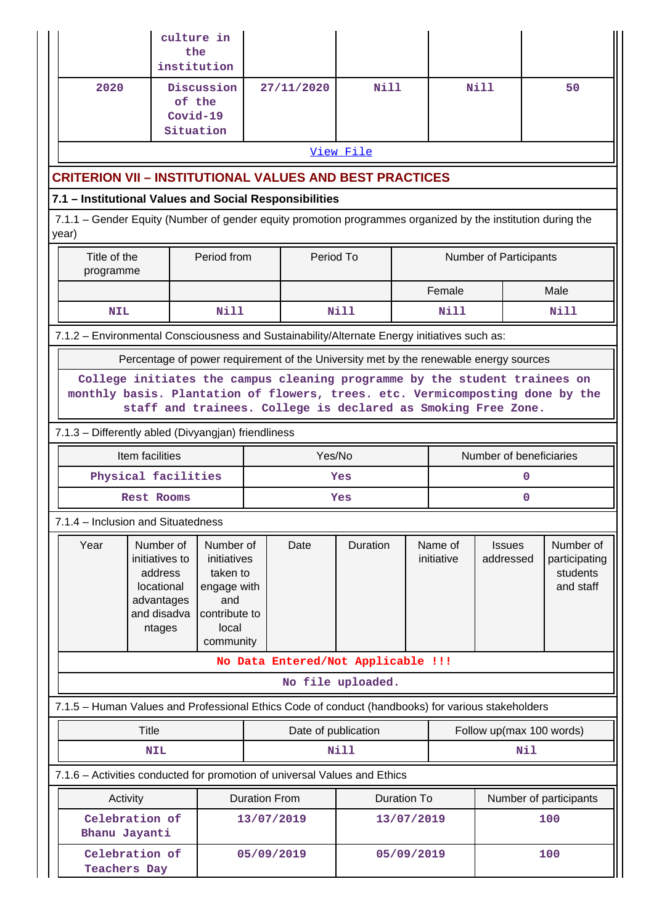|                                                                                                                                                                                                                              | culture in<br>the<br>institution                                                            |                                                                                                   |                                                                                       |                   |                          |                       |                            |                        |                                                     |
|------------------------------------------------------------------------------------------------------------------------------------------------------------------------------------------------------------------------------|---------------------------------------------------------------------------------------------|---------------------------------------------------------------------------------------------------|---------------------------------------------------------------------------------------|-------------------|--------------------------|-----------------------|----------------------------|------------------------|-----------------------------------------------------|
| 2020                                                                                                                                                                                                                         | Discussion<br>of the<br>Covid-19                                                            |                                                                                                   | 27/11/2020                                                                            | Nill              |                          |                       | Nill                       |                        | 50                                                  |
|                                                                                                                                                                                                                              | Situation                                                                                   |                                                                                                   |                                                                                       |                   |                          |                       |                            |                        |                                                     |
|                                                                                                                                                                                                                              |                                                                                             |                                                                                                   |                                                                                       | View File         |                          |                       |                            |                        |                                                     |
| CRITERION VII – INSTITUTIONAL VALUES AND BEST PRACTICES                                                                                                                                                                      |                                                                                             |                                                                                                   |                                                                                       |                   |                          |                       |                            |                        |                                                     |
| 7.1 - Institutional Values and Social Responsibilities                                                                                                                                                                       |                                                                                             |                                                                                                   |                                                                                       |                   |                          |                       |                            |                        |                                                     |
| 7.1.1 – Gender Equity (Number of gender equity promotion programmes organized by the institution during the<br>year)                                                                                                         |                                                                                             |                                                                                                   |                                                                                       |                   |                          |                       |                            |                        |                                                     |
| Title of the<br>programme                                                                                                                                                                                                    |                                                                                             | Period from                                                                                       |                                                                                       | Period To         |                          |                       | Number of Participants     |                        |                                                     |
|                                                                                                                                                                                                                              |                                                                                             |                                                                                                   |                                                                                       |                   |                          | Female                |                            | Male                   |                                                     |
| <b>NIL</b>                                                                                                                                                                                                                   |                                                                                             | <b>Nill</b>                                                                                       |                                                                                       | <b>Nill</b>       |                          | Nill                  |                            | Nill                   |                                                     |
| 7.1.2 - Environmental Consciousness and Sustainability/Alternate Energy initiatives such as:                                                                                                                                 |                                                                                             |                                                                                                   |                                                                                       |                   |                          |                       |                            |                        |                                                     |
|                                                                                                                                                                                                                              |                                                                                             |                                                                                                   | Percentage of power requirement of the University met by the renewable energy sources |                   |                          |                       |                            |                        |                                                     |
| College initiates the campus cleaning programme by the student trainees on<br>monthly basis. Plantation of flowers, trees. etc. Vermicomposting done by the<br>staff and trainees. College is declared as Smoking Free Zone. |                                                                                             |                                                                                                   |                                                                                       |                   |                          |                       |                            |                        |                                                     |
| 7.1.3 - Differently abled (Divyangjan) friendliness                                                                                                                                                                          |                                                                                             |                                                                                                   |                                                                                       |                   |                          |                       |                            |                        |                                                     |
|                                                                                                                                                                                                                              | Item facilities                                                                             |                                                                                                   |                                                                                       | Yes/No            |                          |                       | Number of beneficiaries    |                        |                                                     |
|                                                                                                                                                                                                                              | Physical facilities                                                                         |                                                                                                   |                                                                                       | Yes               |                          |                       |                            | 0                      |                                                     |
|                                                                                                                                                                                                                              | <b>Rest Rooms</b>                                                                           |                                                                                                   |                                                                                       | Yes               |                          |                       |                            | O                      |                                                     |
| 7.1.4 - Inclusion and Situatedness                                                                                                                                                                                           |                                                                                             |                                                                                                   |                                                                                       |                   |                          |                       |                            |                        |                                                     |
| Year                                                                                                                                                                                                                         | Number of<br>initiatives to<br>address<br>locational<br>advantages<br>and disadva<br>ntages | Number of<br>initiatives<br>taken to<br>engage with<br>and<br>contribute to<br>local<br>community | Date                                                                                  | Duration          |                          | Name of<br>initiative | <b>Issues</b><br>addressed |                        | Number of<br>participating<br>students<br>and staff |
|                                                                                                                                                                                                                              |                                                                                             |                                                                                                   | No Data Entered/Not Applicable !!!                                                    |                   |                          |                       |                            |                        |                                                     |
|                                                                                                                                                                                                                              |                                                                                             |                                                                                                   |                                                                                       | No file uploaded. |                          |                       |                            |                        |                                                     |
| 7.1.5 - Human Values and Professional Ethics Code of conduct (handbooks) for various stakeholders                                                                                                                            |                                                                                             |                                                                                                   |                                                                                       |                   |                          |                       |                            |                        |                                                     |
| <b>Title</b>                                                                                                                                                                                                                 |                                                                                             | Date of publication                                                                               |                                                                                       |                   | Follow up(max 100 words) |                       |                            |                        |                                                     |
| <b>Nill</b><br>Nil<br><b>NIL</b>                                                                                                                                                                                             |                                                                                             |                                                                                                   |                                                                                       |                   |                          |                       |                            |                        |                                                     |
| 7.1.6 - Activities conducted for promotion of universal Values and Ethics                                                                                                                                                    |                                                                                             |                                                                                                   |                                                                                       |                   |                          |                       |                            |                        |                                                     |
| Activity                                                                                                                                                                                                                     |                                                                                             |                                                                                                   | <b>Duration From</b>                                                                  |                   |                          | <b>Duration To</b>    |                            | Number of participants |                                                     |
| Celebration of<br>Bhanu Jayanti                                                                                                                                                                                              |                                                                                             |                                                                                                   | 13/07/2019                                                                            |                   |                          | 13/07/2019            |                            | 100                    |                                                     |
| Celebration of<br><b>Teachers Day</b>                                                                                                                                                                                        |                                                                                             |                                                                                                   | 05/09/2019                                                                            |                   | 05/09/2019<br>100        |                       |                            |                        |                                                     |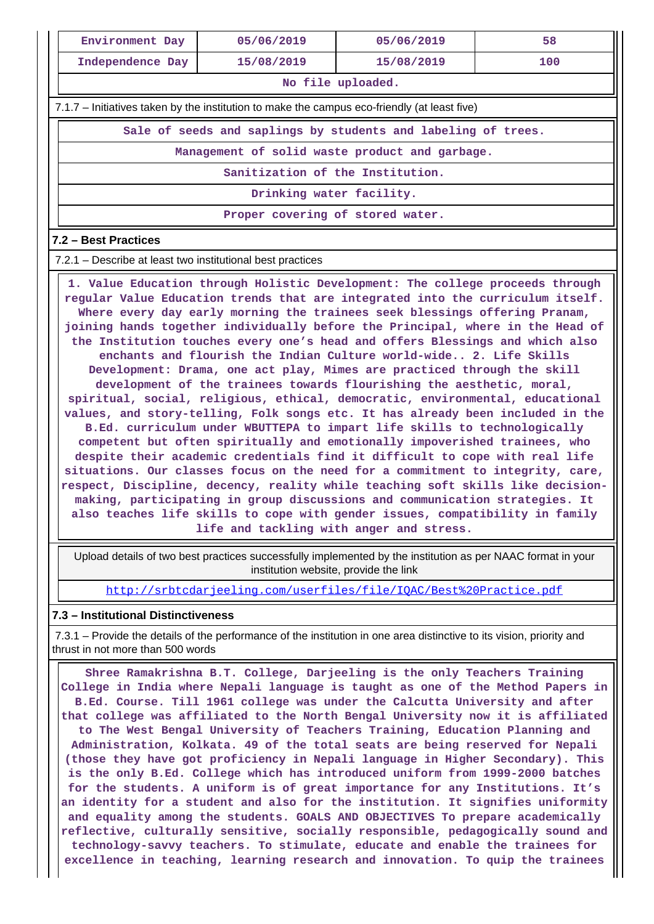| Environment Day                                                                              | 05/06/2019                                                    | 05/06/2019 | 58  |  |  |  |  |  |  |
|----------------------------------------------------------------------------------------------|---------------------------------------------------------------|------------|-----|--|--|--|--|--|--|
| Independence Day                                                                             | 15/08/2019                                                    | 15/08/2019 | 100 |  |  |  |  |  |  |
|                                                                                              | No file uploaded.                                             |            |     |  |  |  |  |  |  |
| 7.1.7 – Initiatives taken by the institution to make the campus eco-friendly (at least five) |                                                               |            |     |  |  |  |  |  |  |
|                                                                                              | Sale of seeds and saplings by students and labeling of trees. |            |     |  |  |  |  |  |  |
| Management of solid waste product and garbage.                                               |                                                               |            |     |  |  |  |  |  |  |
| Sanitization of the Institution.                                                             |                                                               |            |     |  |  |  |  |  |  |
| Drinking water facility.                                                                     |                                                               |            |     |  |  |  |  |  |  |
|                                                                                              | Proper covering of stored water.                              |            |     |  |  |  |  |  |  |

#### **7.2 – Best Practices**

7.2.1 – Describe at least two institutional best practices

 **1. Value Education through Holistic Development: The college proceeds through regular Value Education trends that are integrated into the curriculum itself. Where every day early morning the trainees seek blessings offering Pranam, joining hands together individually before the Principal, where in the Head of the Institution touches every one's head and offers Blessings and which also enchants and flourish the Indian Culture world-wide.. 2. Life Skills Development: Drama, one act play, Mimes are practiced through the skill development of the trainees towards flourishing the aesthetic, moral, spiritual, social, religious, ethical, democratic, environmental, educational values, and story-telling, Folk songs etc. It has already been included in the B.Ed. curriculum under WBUTTEPA to impart life skills to technologically competent but often spiritually and emotionally impoverished trainees, who despite their academic credentials find it difficult to cope with real life situations. Our classes focus on the need for a commitment to integrity, care, respect, Discipline, decency, reality while teaching soft skills like decisionmaking, participating in group discussions and communication strategies. It also teaches life skills to cope with gender issues, compatibility in family life and tackling with anger and stress.**

 Upload details of two best practices successfully implemented by the institution as per NAAC format in your institution website, provide the link

<http://srbtcdarjeeling.com/userfiles/file/IQAC/Best%20Practice.pdf>

#### **7.3 – Institutional Distinctiveness**

 7.3.1 – Provide the details of the performance of the institution in one area distinctive to its vision, priority and thrust in not more than 500 words

 **Shree Ramakrishna B.T. College, Darjeeling is the only Teachers Training College in India where Nepali language is taught as one of the Method Papers in B.Ed. Course. Till 1961 college was under the Calcutta University and after that college was affiliated to the North Bengal University now it is affiliated to The West Bengal University of Teachers Training, Education Planning and Administration, Kolkata. 49 of the total seats are being reserved for Nepali (those they have got proficiency in Nepali language in Higher Secondary). This is the only B.Ed. College which has introduced uniform from 1999-2000 batches for the students. A uniform is of great importance for any Institutions. It's an identity for a student and also for the institution. It signifies uniformity and equality among the students. GOALS AND OBJECTIVES To prepare academically reflective, culturally sensitive, socially responsible, pedagogically sound and technology-savvy teachers. To stimulate, educate and enable the trainees for excellence in teaching, learning research and innovation. To quip the trainees**